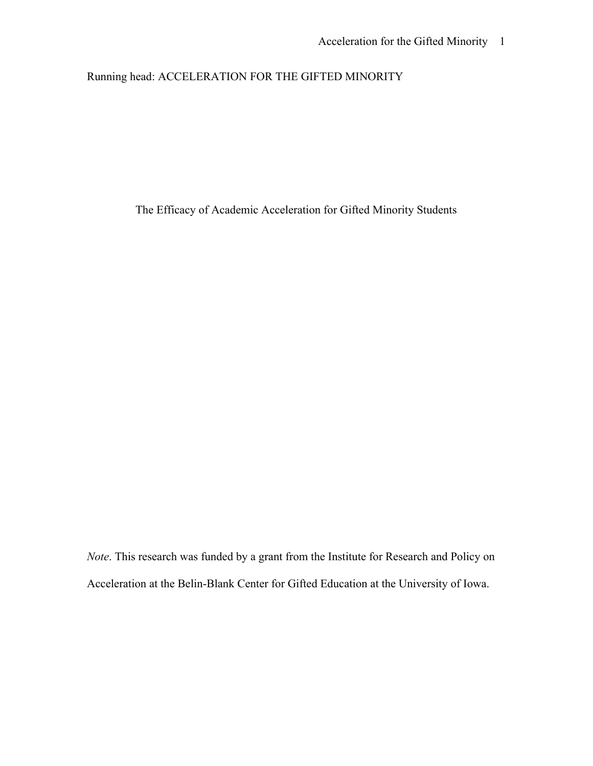# Running head: ACCELERATION FOR THE GIFTED MINORITY

Running head: ACCELERATION FOR THE GIFTED MINORITY<br>The Efficacy of Academic Acceleration for Gifted Minority Students

*Note*. This research was funded by a grant from the Institute for Research and Policy on Acceleration at the Belin-Blank Center for Gifted Education at the University of Iowa.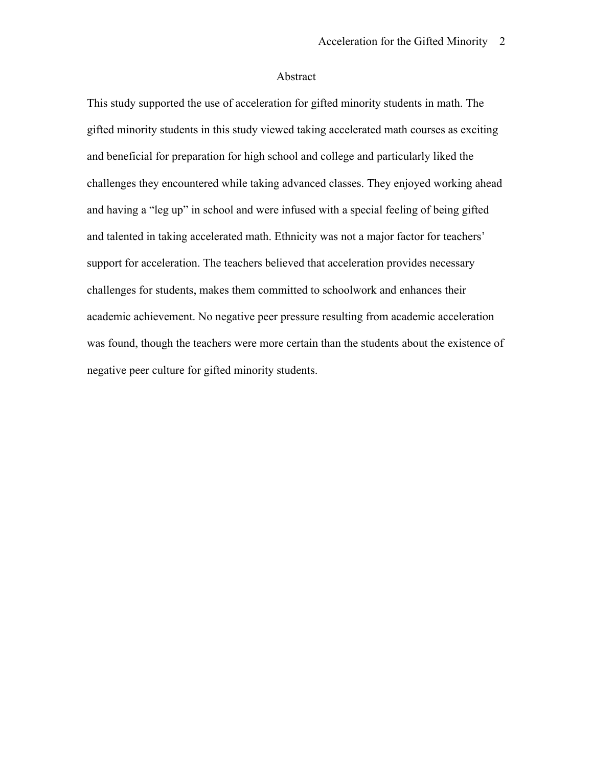# Abstract

This study supported the use of acceleration for gifted minority students in math. The gifted minority students in this study viewed taking accelerated math courses as exciting and beneficial for preparation for high school and college and particularly liked the challenges they encountered while taking advanced classes. They enjoyed working ahead and having a "leg up" in school and were infused with a special feeling of being gifted and talented in taking accelerated math. Ethnicity was not a major factor for teachers' support for acceleration. The teachers believed that acceleration provides necessary challenges for students, makes them committed to schoolwork and enhances their academic achievement. No negative peer pressure resulting from academic acceleration was found, though the teachers were more certain than the students about the existence of negative peer culture for gifted minority students.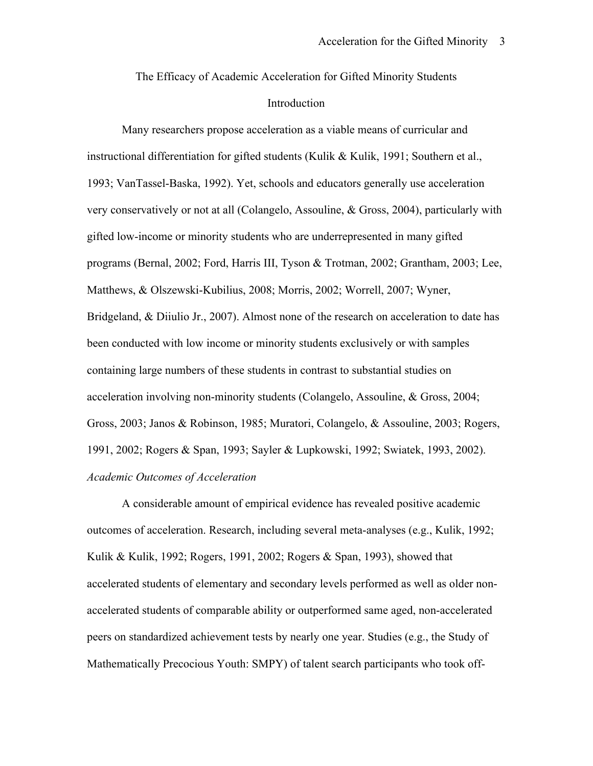The Efficacy of Academic Acceleration for Gifted Minority Students Introduction

Many researchers propose acceleration as a viable means of curricular and instructional differentiation for gifted students (Kulik & Kulik, 1991; Southern et al., 1993; VanTassel-Baska, 1992). Yet, schools and educators generally use acceleration very conservatively or not at all (Colangelo, Assouline, & Gross, 2004), particularly with gifted low-income or minority students who are underrepresented in many gifted programs (Bernal, 2002; Ford, Harris III, Tyson & Trotman, 2002; Grantham, 2003; Lee, Matthews, & Olszewski-Kubilius, 2008; Morris, 2002; Worrell, 2007; Wyner, Bridgeland, & Diiulio Jr., 2007). Almost none of the research on acceleration to date has been conducted with low income or minority students exclusively or with samples containing large numbers of these students in contrast to substantial studies on acceleration involving non-minority students (Colangelo, Assouline, & Gross, 2004; Gross, 2003; Janos & Robinson, 1985; Muratori, Colangelo, & Assouline, 2003; Rogers, 1991, 2002; Rogers & Span, 1993; Sayler & Lupkowski, 1992; Swiatek, 1993, 2002). *Academic Outcomes of Acceleration*

A considerable amount of empirical evidence has revealed positive academic outcomes of acceleration. Research, including several meta-analyses (e.g., Kulik, 1992; Kulik & Kulik, 1992; Rogers, 1991, 2002; Rogers & Span, 1993), showed that accelerated students of elementary and secondary levels performed as well as older nonaccelerated students of comparable ability or outperformed same aged, non-accelerated peers on standardized achievement tests by nearly one year. Studies (e.g., the Study of Mathematically Precocious Youth: SMPY) of talent search participants who took off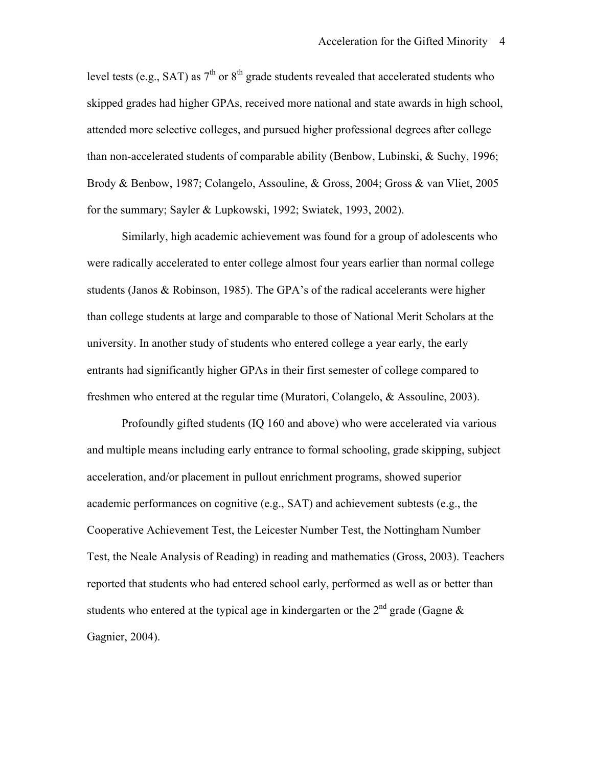level tests (e.g., SAT) as  $7<sup>th</sup>$  or  $8<sup>th</sup>$  grade students revealed that accelerated students who skipped grades had higher GPAs, received more national and state awards in high school, attended more selective colleges, and pursued higher professional degrees after college than non-accelerated students of comparable ability (Benbow, Lubinski, & Suchy, 1996; Brody & Benbow, 1987; Colangelo, Assouline, & Gross, 2004; Gross & van Vliet, 2005 for the summary; Sayler & Lupkowski, 1992; Swiatek, 1993, 2002).

Similarly, high academic achievement was found for a group of adolescents who were radically accelerated to enter college almost four years earlier than normal college students (Janos & Robinson, 1985). The GPA's of the radical accelerants were higher than college students at large and comparable to those of National Merit Scholars at the university. In another study of students who entered college a year early, the early entrants had significantly higher GPAs in their first semester of college compared to freshmen who entered at the regular time (Muratori, Colangelo, & Assouline, 2003).

students who entered at the typical age in kindergarten or the  $2^{nd}$  grade (Gagne  $\&$ Profoundly gifted students (IQ 160 and above) who were accelerated via various and multiple means including early entrance to formal schooling, grade skipping, subject acceleration, and/or placement in pullout enrichment programs, showed superior academic performances on cognitive (e.g., SAT) and achievement subtests (e.g., the Cooperative Achievement Test, the Leicester Number Test, the Nottingham Number Test, the Neale Analysis of Reading) in reading and mathematics (Gross, 2003). Teachers reported that students who had entered school early, performed as well as or better than Gagnier, 2004).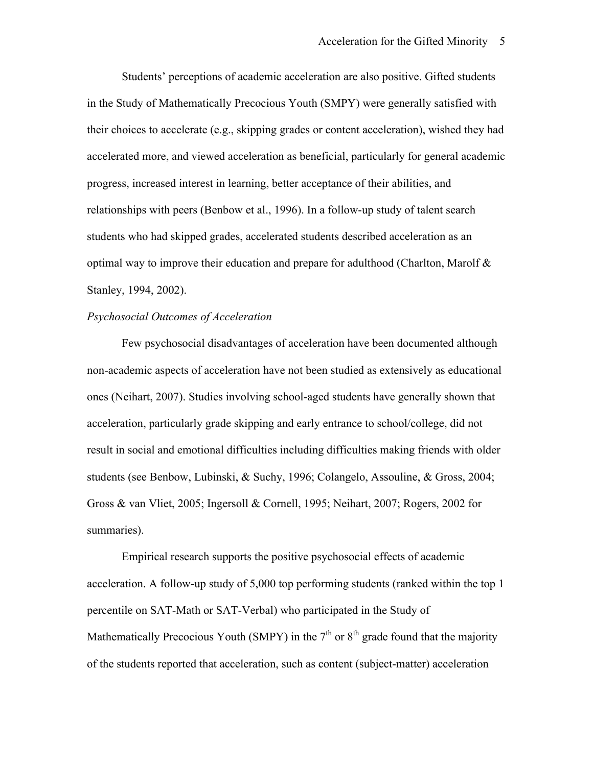Students' perceptions of academic acceleration are also positive. Gifted students in the Study of Mathematically Precocious Youth (SMPY) were generally satisfied with their choices to accelerate (e.g., skipping grades or content acceleration), wished they had accelerated more, and viewed acceleration as beneficial, particularly for general academic progress, increased interest in learning, better acceptance of their abilities, and relationships with peers (Benbow et al., 1996). In a follow-up study of talent search students who had skipped grades, accelerated students described acceleration as an optimal way to improve their education and prepare for adulthood (Charlton, Marolf  $\&$ Stanley, 1994, 2002).

# *Psychosocial Outcomes of Acceleration*

Few psychosocial disadvantages of acceleration have been documented although non-academic aspects of acceleration have not been studied as extensively as educational ones (Neihart, 2007). Studies involving school-aged students have generally shown that acceleration, particularly grade skipping and early entrance to school/college, did not result in social and emotional difficulties including difficulties making friends with older students (see Benbow, Lubinski, & Suchy, 1996; Colangelo, Assouline, & Gross, 2004; Gross & van Vliet, 2005; Ingersoll & Cornell, 1995; Neihart, 2007; Rogers, 2002 for summaries).

Empirical research supports the positive psychosocial effects of academic acceleration. A follow-up study of 5,000 top performing students (ranked within the top 1 percentile on SAT-Math or SAT-Verbal) who participated in the Study of Mathematically Precocious Youth (SMPY) in the  $7<sup>th</sup>$  or  $8<sup>th</sup>$  grade found that the majority of the students reported that acceleration, such as content (subject-matter) acceleration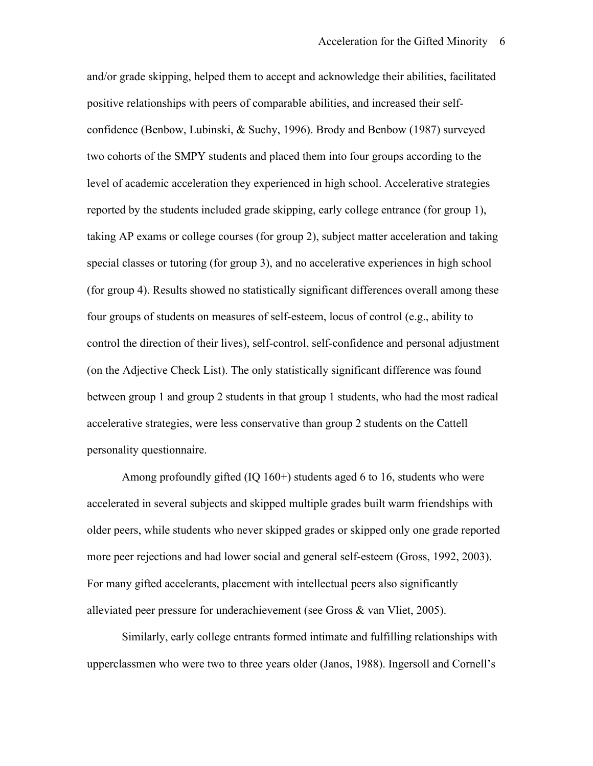control the direction of their lives), self-control, self-confidence and personal adjustment and/or grade skipping, helped them to accept and acknowledge their abilities, facilitated positive relationships with peers of comparable abilities, and increased their selfconfidence (Benbow, Lubinski, & Suchy, 1996). Brody and Benbow (1987) surveyed two cohorts of the SMPY students and placed them into four groups according to the level of academic acceleration they experienced in high school. Accelerative strategies reported by the students included grade skipping, early college entrance (for group 1), taking AP exams or college courses (for group 2), subject matter acceleration and taking special classes or tutoring (for group 3), and no accelerative experiences in high school (for group 4). Results showed no statistically significant differences overall among these four groups of students on measures of self-esteem, locus of control (e.g., ability to (on the Adjective Check List). The only statistically significant difference was found between group 1 and group 2 students in that group 1 students, who had the most radical accelerative strategies, were less conservative than group 2 students on the Cattell personality questionnaire.

Among profoundly gifted (IQ 160+) students aged 6 to 16, students who were accelerated in several subjects and skipped multiple grades built warm friendships with older peers, while students who never skipped grades or skipped only one grade reported more peer rejections and had lower social and general self-esteem (Gross, 1992, 2003). For many gifted accelerants, placement with intellectual peers also significantly alleviated peer pressure for underachievement (see Gross & van Vliet, 2005).

Similarly, early college entrants formed intimate and fulfilling relationships with upperclassmen who were two to three years older (Janos, 1988). Ingersoll and Cornell's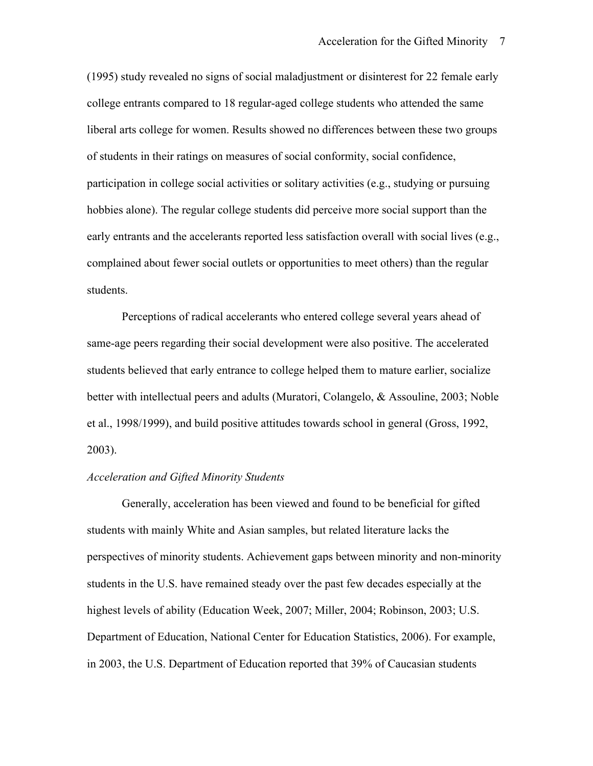(1995) study revealed no signs of social maladjustment or disinterest for 22 female early college entrants compared to 18 regular-aged college students who attended the same liberal arts college for women. Results showed no differences between these two groups of students in their ratings on measures of social conformity, social confidence, participation in college social activities or solitary activities (e.g., studying or pursuing hobbies alone). The regular college students did perceive more social support than the early entrants and the accelerants reported less satisfaction overall with social lives (e.g., complained about fewer social outlets or opportunities to meet others) than the regular students.

Perceptions of radical accelerants who entered college several years ahead of same-age peers regarding their social development were also positive. The accelerated students believed that early entrance to college helped them to mature earlier, socialize better with intellectual peers and adults (Muratori, Colangelo, & Assouline, 2003; Noble et al., 1998/1999), and build positive attitudes towards school in general (Gross, 1992, 2003).

### *Acceleration and Gifted Minority Students*

Generally, acceleration has been viewed and found to be beneficial for gifted students with mainly White and Asian samples, but related literature lacks the perspectives of minority students. Achievement gaps between minority and non-minority students in the U.S. have remained steady over the past few decades especially at the highest levels of ability (Education Week, 2007; Miller, 2004; Robinson, 2003; U.S. Department of Education, National Center for Education Statistics, 2006). For example, in 2003, the U.S. Department of Education reported that 39% of Caucasian students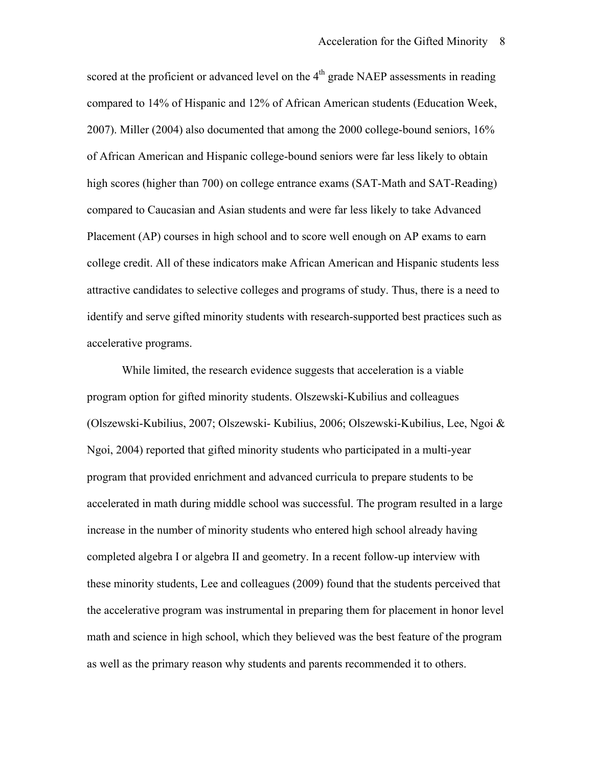accelerative programs. scored at the proficient or advanced level on the  $4<sup>th</sup>$  grade NAEP assessments in reading compared to 14% of Hispanic and 12% of African American students (Education Week, 2007). Miller (2004) also documented that among the 2000 college-bound seniors, 16% of African American and Hispanic college-bound seniors were far less likely to obtain high scores (higher than 700) on college entrance exams (SAT-Math and SAT-Reading) compared to Caucasian and Asian students and were far less likely to take Advanced Placement (AP) courses in high school and to score well enough on AP exams to earn college credit. All of these indicators make African American and Hispanic students less attractive candidates to selective colleges and programs of study. Thus, there is a need to identify and serve gifted minority students with research-supported best practices such as

While limited, the research evidence suggests that acceleration is a viable program option for gifted minority students. Olszewski-Kubilius and colleagues (Olszewski-Kubilius, 2007; Olszewski- Kubilius, 2006; Olszewski-Kubilius, Lee, Ngoi & Ngoi, 2004) reported that gifted minority students who participated in a multi-year program that provided enrichment and advanced curricula to prepare students to be accelerated in math during middle school was successful. The program resulted in a large increase in the number of minority students who entered high school already having completed algebra I or algebra II and geometry. In a recent follow-up interview with these minority students, Lee and colleagues (2009) found that the students perceived that the accelerative program was instrumental in preparing them for placement in honor level math and science in high school, which they believed was the best feature of the program as well as the primary reason why students and parents recommended it to others.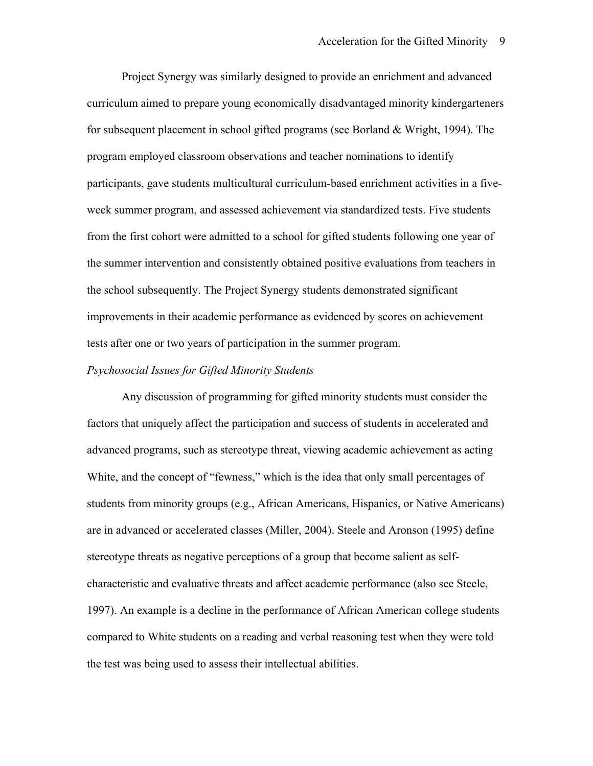Project Synergy was similarly designed to provide an enrichment and advanced curriculum aimed to prepare young economically disadvantaged minority kindergarteners for subsequent placement in school gifted programs (see Borland & Wright, 1994). The program employed classroom observations and teacher nominations to identify participants, gave students multicultural curriculum-based enrichment activities in a fiveweek summer program, and assessed achievement via standardized tests. Five students from the first cohort were admitted to a school for gifted students following one year of the summer intervention and consistently obtained positive evaluations from teachers in the school subsequently. The Project Synergy students demonstrated significant improvements in their academic performance as evidenced by scores on achievement tests after one or two years of participation in the summer program.

### *Psychosocial Issues for Gifted Minority Students*

Any discussion of programming for gifted minority students must consider the factors that uniquely affect the participation and success of students in accelerated and advanced programs, such as stereotype threat, viewing academic achievement as acting White, and the concept of "fewness," which is the idea that only small percentages of students from minority groups (e.g., African Americans, Hispanics, or Native Americans) are in advanced or accelerated classes (Miller, 2004). Steele and Aronson (1995) define stereotype threats as negative perceptions of a group that become salient as selfcharacteristic and evaluative threats and affect academic performance (also see Steele, 1997). An example is a decline in the performance of African American college students compared to White students on a reading and verbal reasoning test when they were told the test was being used to assess their intellectual abilities.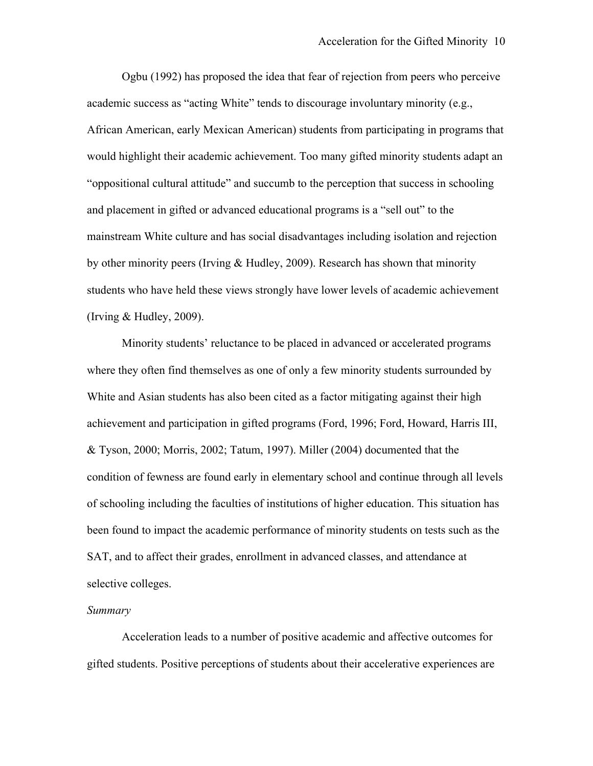Ogbu (1992) has proposed the idea that fear of rejection from peers who perceive students who have held these views strongly have lower levels of academic achievement<br>(Irving & Hudley, 2009). academic success as "acting White" tends to discourage involuntary minority (e.g., African American, early Mexican American) students from participating in programs that would highlight their academic achievement. Too many gifted minority students adapt an "oppositional cultural attitude" and succumb to the perception that success in schooling and placement in gifted or advanced educational programs is a "sell out" to the mainstream White culture and has social disadvantages including isolation and rejection by other minority peers (Irving & Hudley, 2009). Research has shown that minority

Minority students' reluctance to be placed in advanced or accelerated programs where they often find themselves as one of only a few minority students surrounded by White and Asian students has also been cited as a factor mitigating against their high achievement and participation in gifted programs (Ford, 1996; Ford, Howard, Harris III, & Tyson, 2000; Morris, 2002; Tatum, 1997). Miller (2004) documented that the condition of fewness are found early in elementary school and continue through all levels of schooling including the faculties of institutions of higher education. This situation has been found to impact the academic performance of minority students on tests such as the SAT, and to affect their grades, enrollment in advanced classes, and attendance at selective colleges.

### *Summary*

Acceleration leads to a number of positive academic and affective outcomes for gifted students. Positive perceptions of students about their accelerative experiences are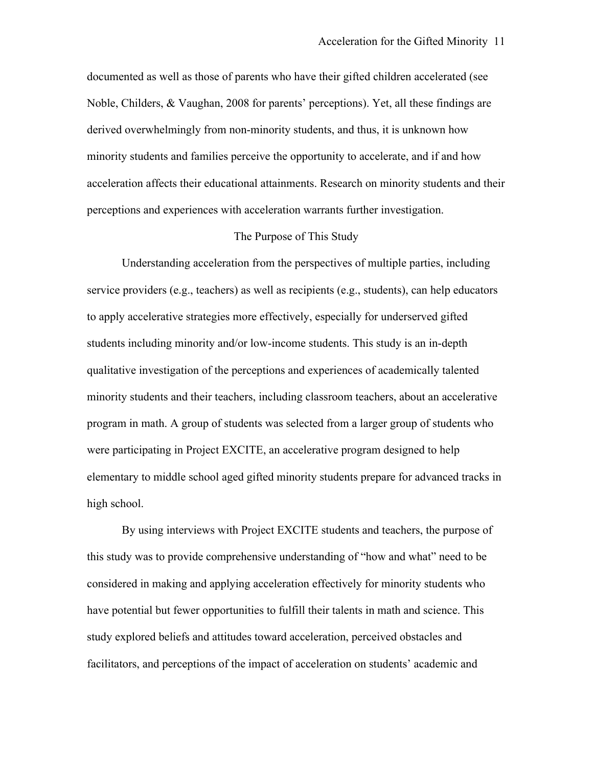documented as well as those of parents who have their gifted children accelerated (see Noble, Childers, & Vaughan, 2008 for parents' perceptions). Yet, all these findings are derived overwhelmingly from non-minority students, and thus, it is unknown how minority students and families perceive the opportunity to accelerate, and if and how acceleration affects their educational attainments. Research on minority students and their perceptions and experiences with acceleration warrants further investigation.

### The Purpose of This Study

Understanding acceleration from the perspectives of multiple parties, including service providers (e.g., teachers) as well as recipients (e.g., students), can help educators to apply accelerative strategies more effectively, especially for underserved gifted students including minority and/or low-income students. This study is an in-depth qualitative investigation of the perceptions and experiences of academically talented minority students and their teachers, including classroom teachers, about an accelerative program in math. A group of students was selected from a larger group of students who were participating in Project EXCITE, an accelerative program designed to help elementary to middle school aged gifted minority students prepare for advanced tracks in high school.

By using interviews with Project EXCITE students and teachers, the purpose of this study was to provide comprehensive understanding of "how and what" need to be considered in making and applying acceleration effectively for minority students who have potential but fewer opportunities to fulfill their talents in math and science. This study explored beliefs and attitudes toward acceleration, perceived obstacles and facilitators, and perceptions of the impact of acceleration on students' academic and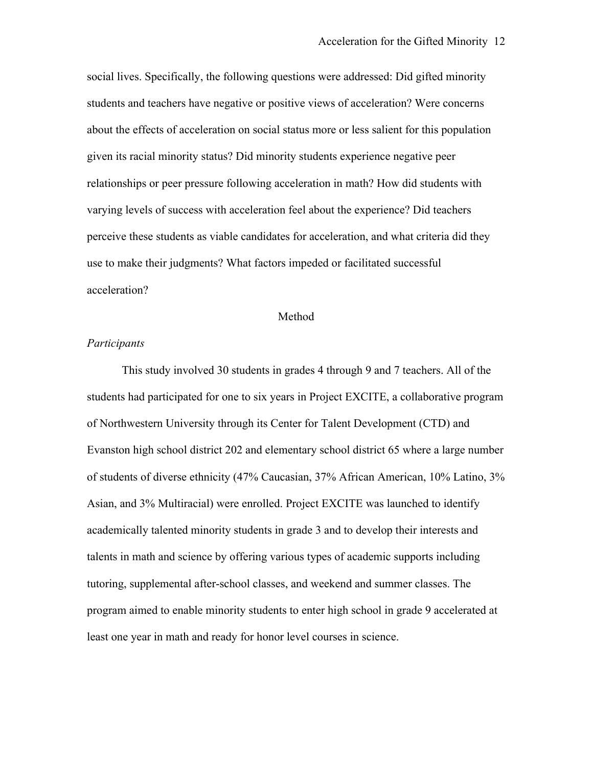social lives. Specifically, the following questions were addressed: Did gifted minority students and teachers have negative or positive views of acceleration? Were concerns about the effects of acceleration on social status more or less salient for this population given its racial minority status? Did minority students experience negative peer relationships or peer pressure following acceleration in math? How did students with varying levels of success with acceleration feel about the experience? Did teachers perceive these students as viable candidates for acceleration, and what criteria did they use to make their judgments? What factors impeded or facilitated successful acceleration?

### Method

### *Participants*

This study involved 30 students in grades 4 through 9 and 7 teachers. All of the students had participated for one to six years in Project EXCITE, a collaborative program of Northwestern University through its Center for Talent Development (CTD) and Evanston high school district 202 and elementary school district 65 where a large number of students of diverse ethnicity (47% Caucasian, 37% African American, 10% Latino, 3% Asian, and 3% Multiracial) were enrolled. Project EXCITE was launched to identify academically talented minority students in grade 3 and to develop their interests and talents in math and science by offering various types of academic supports including tutoring, supplemental after-school classes, and weekend and summer classes. The program aimed to enable minority students to enter high school in grade 9 accelerated at least one year in math and ready for honor level courses in science.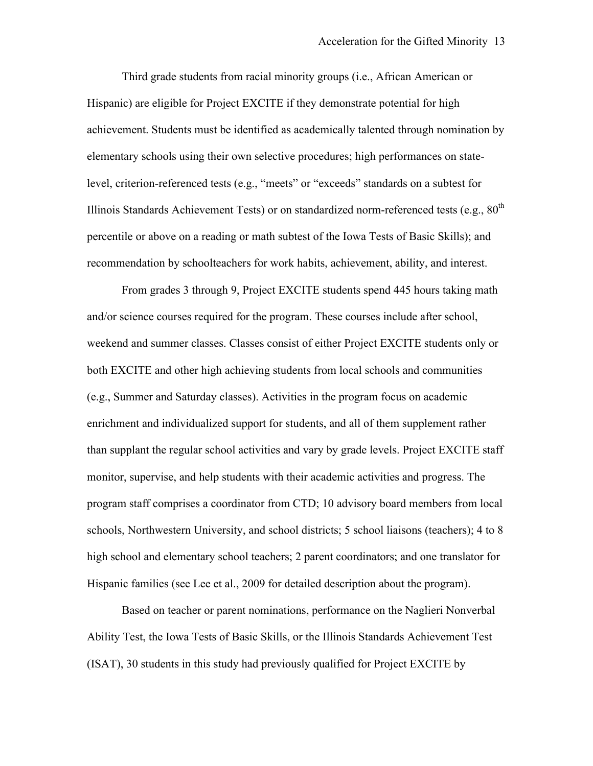Third grade students from racial minority groups (i.e., African American or Hispanic) are eligible for Project EXCITE if they demonstrate potential for high achievement. Students must be identified as academically talented through nomination by elementary schools using their own selective procedures; high performances on statelevel, criterion-referenced tests (e.g., "meets" or "exceeds" standards on a subtest for Illinois Standards Achievement Tests) or on standardized norm-referenced tests (e.g.,  $80^{th}$ percentile or above on a reading or math subtest of the Iowa Tests of Basic Skills); and recommendation by schoolteachers for work habits, achievement, ability, and interest.

From grades 3 through 9, Project EXCITE students spend 445 hours taking math and/or science courses required for the program. These courses include after school, weekend and summer classes. Classes consist of either Project EXCITE students only or both EXCITE and other high achieving students from local schools and communities (e.g., Summer and Saturday classes). Activities in the program focus on academic enrichment and individualized support for students, and all of them supplement rather than supplant the regular school activities and vary by grade levels. Project EXCITE staff monitor, supervise, and help students with their academic activities and progress. The program staff comprises a coordinator from CTD; 10 advisory board members from local schools, Northwestern University, and school districts; 5 school liaisons (teachers); 4 to 8 high school and elementary school teachers; 2 parent coordinators; and one translator for Hispanic families (see Lee et al., 2009 for detailed description about the program).

 (ISAT), 30 students in this study had previously qualified for Project EXCITE by Based on teacher or parent nominations, performance on the Naglieri Nonverbal Ability Test, the Iowa Tests of Basic Skills, or the Illinois Standards Achievement Test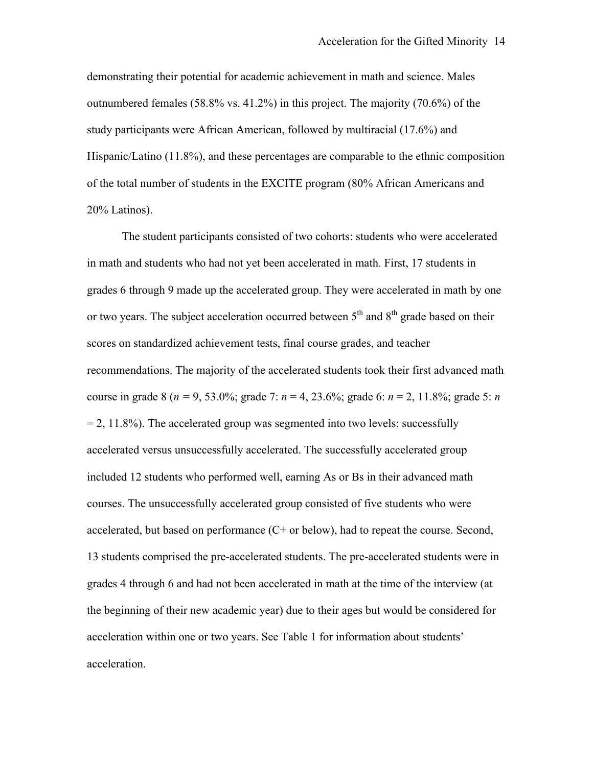demonstrating their potential for academic achievement in math and science. Males outnumbered females (58.8% vs. 41.2%) in this project. The majority (70.6%) of the study participants were African American, followed by multiracial (17.6%) and Hispanic/Latino (11.8%), and these percentages are comparable to the ethnic composition of the total number of students in the EXCITE program (80% African Americans and 20% Latinos).

or two years. The subject acceleration occurred between  $5<sup>th</sup>$  and  $8<sup>th</sup>$  grade based on their course in grade 8 (*n =* 9, 53.0%; grade 7: *n* = 4, 23.6%; grade 6: *n* = 2, 11.8%; grade 5: *n*  courses. The unsuccessfully accelerated group consisted of five students who were The student participants consisted of two cohorts: students who were accelerated in math and students who had not yet been accelerated in math. First, 17 students in grades 6 through 9 made up the accelerated group. They were accelerated in math by one scores on standardized achievement tests, final course grades, and teacher recommendations. The majority of the accelerated students took their first advanced math  $= 2, 11.8\%$ ). The accelerated group was segmented into two levels: successfully accelerated versus unsuccessfully accelerated. The successfully accelerated group included 12 students who performed well, earning As or Bs in their advanced math accelerated, but based on performance (C+ or below), had to repeat the course. Second, 13 students comprised the pre-accelerated students. The pre-accelerated students were in grades 4 through 6 and had not been accelerated in math at the time of the interview (at the beginning of their new academic year) due to their ages but would be considered for acceleration within one or two years. See Table 1 for information about students' acceleration.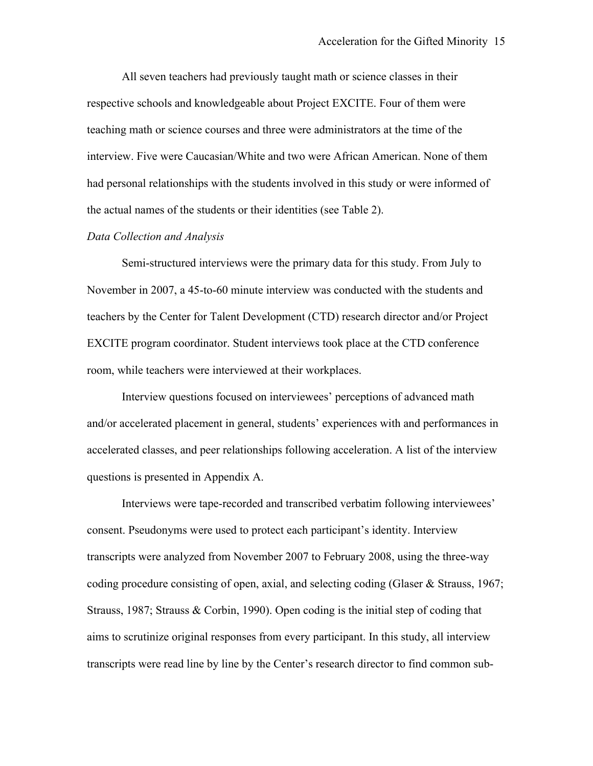All seven teachers had previously taught math or science classes in their respective schools and knowledgeable about Project EXCITE. Four of them were teaching math or science courses and three were administrators at the time of the interview. Five were Caucasian/White and two were African American. None of them had personal relationships with the students involved in this study or were informed of the actual names of the students or their identities (see Table 2).

### *Data Collection and Analysis*

Semi-structured interviews were the primary data for this study. From July to November in 2007, a 45-to-60 minute interview was conducted with the students and teachers by the Center for Talent Development (CTD) research director and/or Project EXCITE program coordinator. Student interviews took place at the CTD conference room, while teachers were interviewed at their workplaces.

questions is presented in Appendix A. Interview questions focused on interviewees' perceptions of advanced math and/or accelerated placement in general, students' experiences with and performances in accelerated classes, and peer relationships following acceleration. A list of the interview

Interviews were tape-recorded and transcribed verbatim following interviewees' consent. Pseudonyms were used to protect each participant's identity. Interview transcripts were analyzed from November 2007 to February 2008, using the three-way coding procedure consisting of open, axial, and selecting coding (Glaser & Strauss, 1967; Strauss, 1987; Strauss & Corbin, 1990). Open coding is the initial step of coding that aims to scrutinize original responses from every participant. In this study, all interview transcripts were read line by line by the Center's research director to find common sub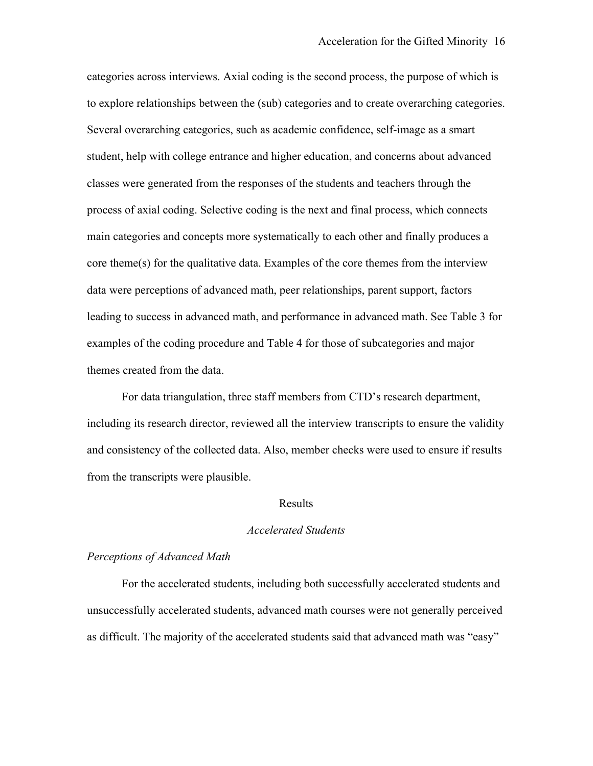categories across interviews. Axial coding is the second process, the purpose of which is to explore relationships between the (sub) categories and to create overarching categories. Several overarching categories, such as academic confidence, self-image as a smart student, help with college entrance and higher education, and concerns about advanced classes were generated from the responses of the students and teachers through the process of axial coding. Selective coding is the next and final process, which connects main categories and concepts more systematically to each other and finally produces a core theme(s) for the qualitative data. Examples of the core themes from the interview data were perceptions of advanced math, peer relationships, parent support, factors leading to success in advanced math, and performance in advanced math. See Table 3 for examples of the coding procedure and Table 4 for those of subcategories and major themes created from the data.

For data triangulation, three staff members from CTD's research department, including its research director, reviewed all the interview transcripts to ensure the validity and consistency of the collected data. Also, member checks were used to ensure if results from the transcripts were plausible.

### Results

### *Accelerated Students*

#### *Perceptions of Advanced Math*

For the accelerated students, including both successfully accelerated students and unsuccessfully accelerated students, advanced math courses were not generally perceived as difficult. The majority of the accelerated students said that advanced math was "easy"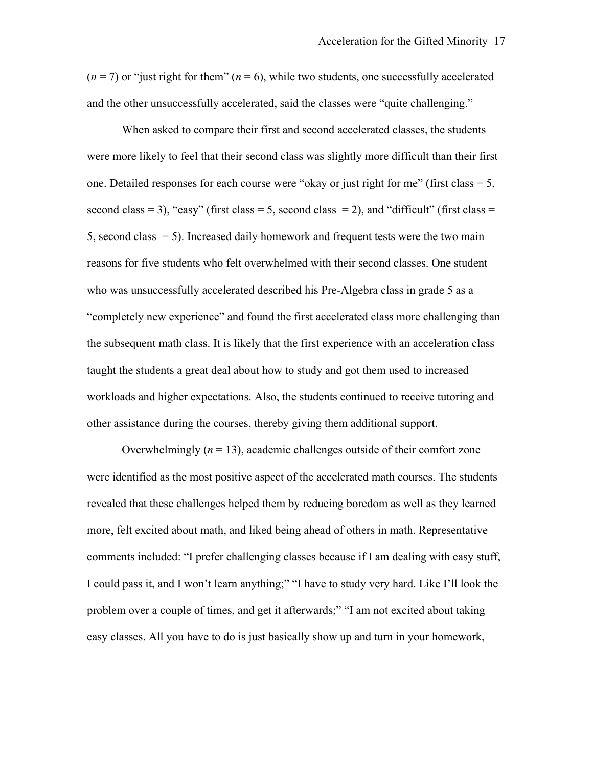and the other unsuccessfully accelerated, said the classes were "quite challenging." When asked to compare their first and second accelerated classes, the students  $(n = 7)$  or "just right for them"  $(n = 6)$ , while two students, one successfully accelerated

were more likely to feel that their second class was slightly more difficult than their first one. Detailed responses for each course were "okay or just right for me" (first class  $= 5$ , second class  $= 3$ ), "easy" (first class  $= 5$ , second class  $= 2$ ), and "difficult" (first class  $=$ 5, second class  $= 5$ ). Increased daily homework and frequent tests were the two main reasons for five students who felt overwhelmed with their second classes. One student who was unsuccessfully accelerated described his Pre-Algebra class in grade 5 as a "completely new experience" and found the first accelerated class more challenging than the subsequent math class. It is likely that the first experience with an acceleration class taught the students a great deal about how to study and got them used to increased workloads and higher expectations. Also, the students continued to receive tutoring and other assistance during the courses, thereby giving them additional support.

 revealed that these challenges helped them by reducing boredom as well as they learned I could pass it, and I won't learn anything;" "I have to study very hard. Like I'll look the Overwhelmingly  $(n = 13)$ , academic challenges outside of their comfort zone were identified as the most positive aspect of the accelerated math courses. The students more, felt excited about math, and liked being ahead of others in math. Representative comments included: "I prefer challenging classes because if I am dealing with easy stuff, problem over a couple of times, and get it afterwards;" "I am not excited about taking easy classes. All you have to do is just basically show up and turn in your homework,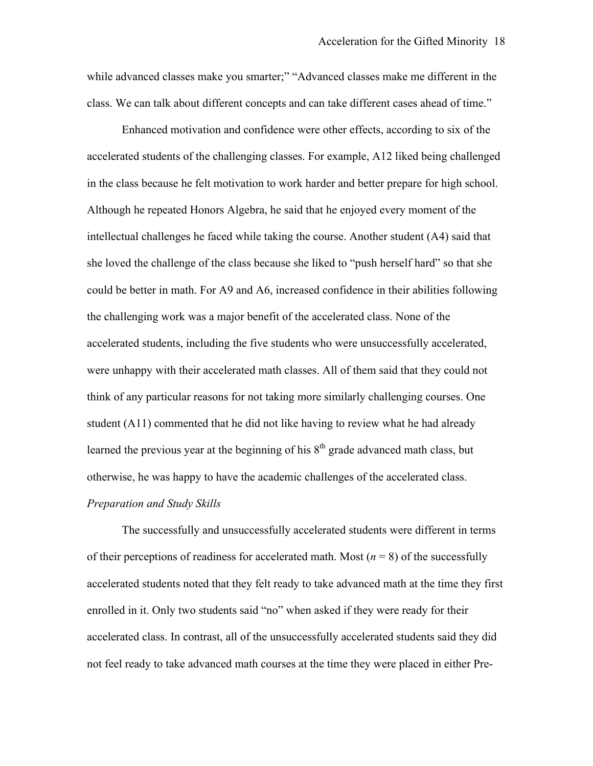while advanced classes make you smarter;" "Advanced classes make me different in the class. We can talk about different concepts and can take different cases ahead of time."<br>Enhanced motivation and confidence were other effects, according to six of the

Enhanced motivation and confidence were other effects, according to six of the accelerated students of the challenging classes. For example, A12 liked being challenged in the class because he felt motivation to work harder and better prepare for high school. Although he repeated Honors Algebra, he said that he enjoyed every moment of the intellectual challenges he faced while taking the course. Another student (A4) said that she loved the challenge of the class because she liked to "push herself hard" so that she could be better in math. For A9 and A6, increased confidence in their abilities following the challenging work was a major benefit of the accelerated class. None of the accelerated students, including the five students who were unsuccessfully accelerated, were unhappy with their accelerated math classes. All of them said that they could not think of any particular reasons for not taking more similarly challenging courses. One student (A11) commented that he did not like having to review what he had already learned the previous year at the beginning of his  $8<sup>th</sup>$  grade advanced math class, but otherwise, he was happy to have the academic challenges of the accelerated class. *Preparation and Study Skills* 

The successfully and unsuccessfully accelerated students were different in terms of their perceptions of readiness for accelerated math. Most  $(n = 8)$  of the successfully accelerated students noted that they felt ready to take advanced math at the time they first enrolled in it. Only two students said "no" when asked if they were ready for their accelerated class. In contrast, all of the unsuccessfully accelerated students said they did not feel ready to take advanced math courses at the time they were placed in either Pre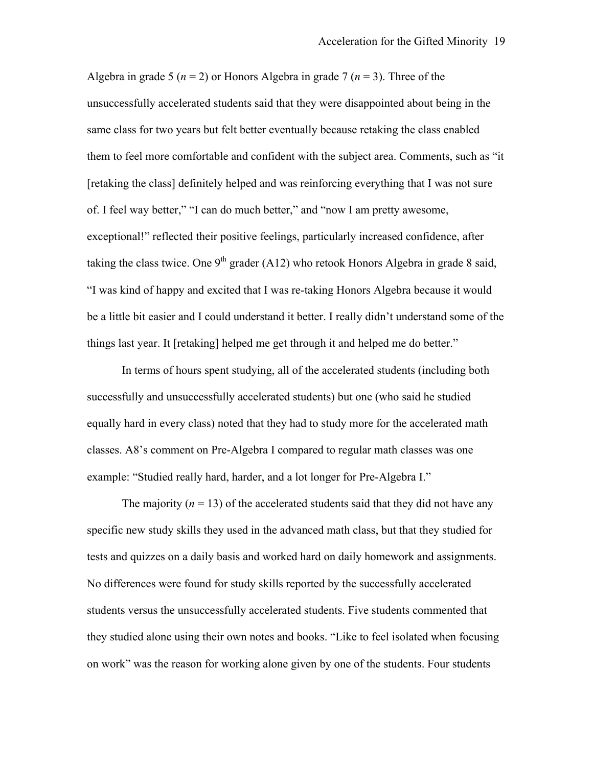unsuccessfully accelerated students said that they were disappointed about being in the them to feel more comfortable and confident with the subject area. Comments, such as "it things last year. It [retaking] helped me get through it and helped me do better." Algebra in grade 5 ( $n = 2$ ) or Honors Algebra in grade 7 ( $n = 3$ ). Three of the same class for two years but felt better eventually because retaking the class enabled [retaking the class] definitely helped and was reinforcing everything that I was not sure of. I feel way better," "I can do much better," and "now I am pretty awesome, exceptional!" reflected their positive feelings, particularly increased confidence, after taking the class twice. One 9<sup>th</sup> grader (A12) who retook Honors Algebra in grade 8 said, "I was kind of happy and excited that I was re-taking Honors Algebra because it would be a little bit easier and I could understand it better. I really didn't understand some of the

example: "Studied really hard, harder, and a lot longer for Pre-Algebra I." In terms of hours spent studying, all of the accelerated students (including both successfully and unsuccessfully accelerated students) but one (who said he studied equally hard in every class) noted that they had to study more for the accelerated math classes. A8's comment on Pre-Algebra I compared to regular math classes was one

 students versus the unsuccessfully accelerated students. Five students commented that The majority  $(n = 13)$  of the accelerated students said that they did not have any specific new study skills they used in the advanced math class, but that they studied for tests and quizzes on a daily basis and worked hard on daily homework and assignments. No differences were found for study skills reported by the successfully accelerated they studied alone using their own notes and books. "Like to feel isolated when focusing on work" was the reason for working alone given by one of the students. Four students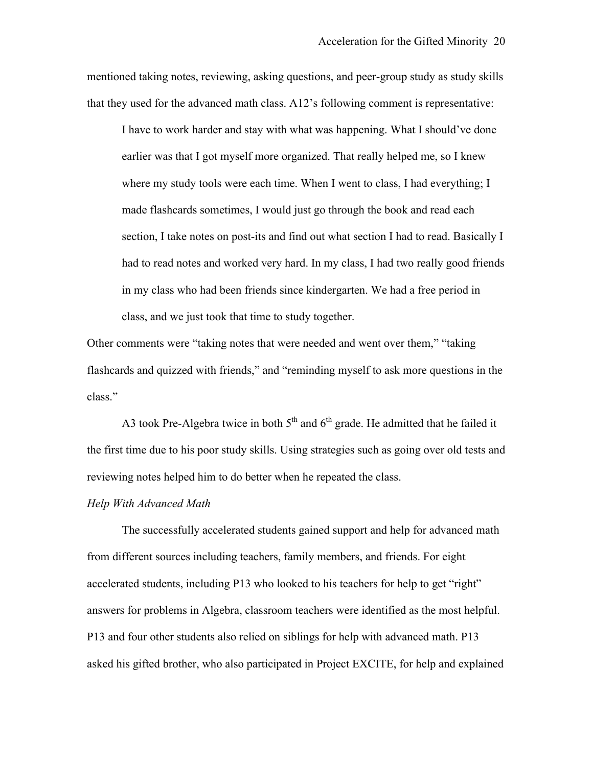mentioned taking notes, reviewing, asking questions, and peer-group study as study skills that they used for the advanced math class. A12's following comment is representative:

I have to work harder and stay with what was happening. What I should've done earlier was that I got myself more organized. That really helped me, so I knew where my study tools were each time. When I went to class, I had everything; I made flashcards sometimes, I would just go through the book and read each section, I take notes on post-its and find out what section I had to read. Basically I had to read notes and worked very hard. In my class, I had two really good friends in my class who had been friends since kindergarten. We had a free period in class, and we just took that time to study together.

Other comments were "taking notes that were needed and went over them," "taking flashcards and quizzed with friends," and "reminding myself to ask more questions in the class."

A3 took Pre-Algebra twice in both  $5<sup>th</sup>$  and  $6<sup>th</sup>$  grade. He admitted that he failed it the first time due to his poor study skills. Using strategies such as going over old tests and reviewing notes helped him to do better when he repeated the class.

#### *Help With Advanced Math*

The successfully accelerated students gained support and help for advanced math from different sources including teachers, family members, and friends. For eight accelerated students, including P13 who looked to his teachers for help to get "right" answers for problems in Algebra, classroom teachers were identified as the most helpful. P13 and four other students also relied on siblings for help with advanced math. P13 asked his gifted brother, who also participated in Project EXCITE, for help and explained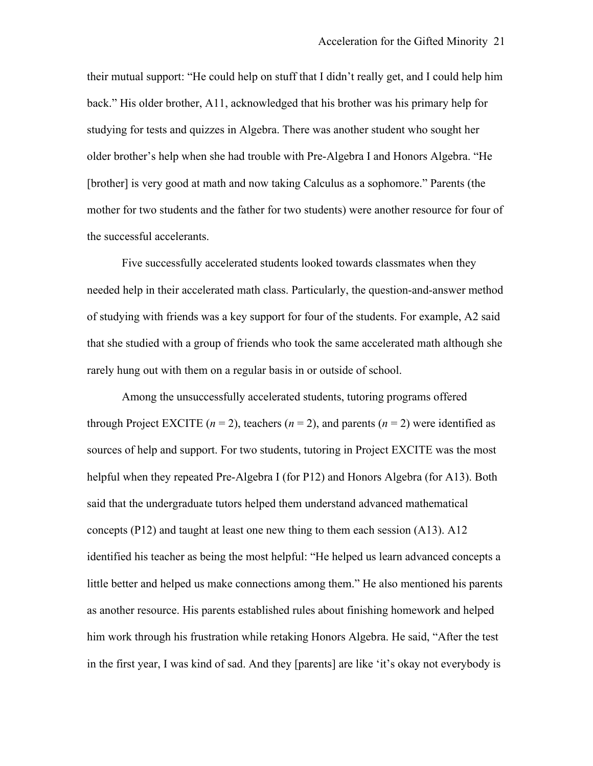[brother] is very good at math and now taking Calculus as a sophomore." Parents (the mother for two students and the father for two students) were another resource for four of their mutual support: "He could help on stuff that I didn't really get, and I could help him back." His older brother, A11, acknowledged that his brother was his primary help for studying for tests and quizzes in Algebra. There was another student who sought her older brother's help when she had trouble with Pre-Algebra I and Honors Algebra. "He the successful accelerants.

Five successfully accelerated students looked towards classmates when they needed help in their accelerated math class. Particularly, the question-and-answer method of studying with friends was a key support for four of the students. For example, A2 said that she studied with a group of friends who took the same accelerated math although she rarely hung out with them on a regular basis in or outside of school.

 sources of help and support. For two students, tutoring in Project EXCITE was the most Among the unsuccessfully accelerated students, tutoring programs offered through Project EXCITE  $(n = 2)$ , teachers  $(n = 2)$ , and parents  $(n = 2)$  were identified as helpful when they repeated Pre-Algebra I (for P12) and Honors Algebra (for A13). Both said that the undergraduate tutors helped them understand advanced mathematical concepts (P12) and taught at least one new thing to them each session (A13). A12 identified his teacher as being the most helpful: "He helped us learn advanced concepts a little better and helped us make connections among them." He also mentioned his parents as another resource. His parents established rules about finishing homework and helped him work through his frustration while retaking Honors Algebra. He said, "After the test in the first year, I was kind of sad. And they [parents] are like 'it's okay not everybody is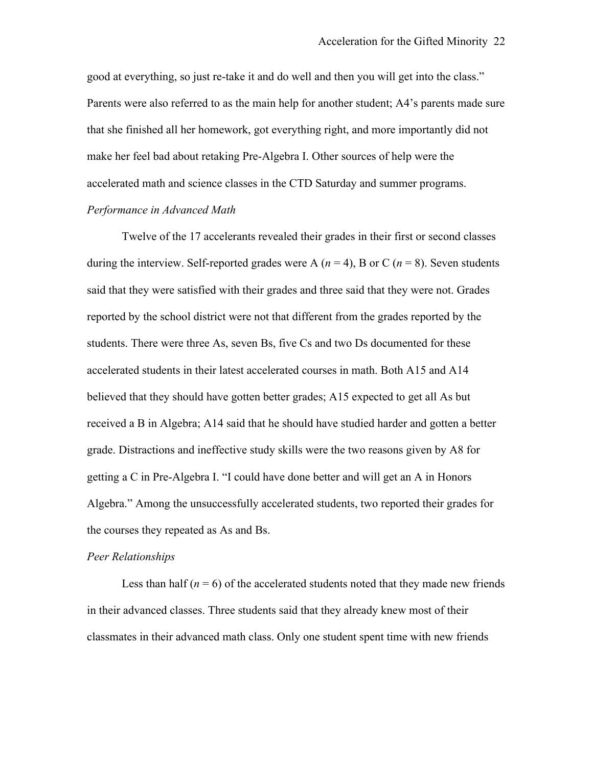good at everything, so just re-take it and do well and then you will get into the class." Parents were also referred to as the main help for another student; A4's parents made sur e that she finished all her homework, got everything right, and more importantly did not make her feel bad about retaking Pre-Algebra I. Other sources of help were the accelerated math and science classes in the CTD Saturday and summer programs. *Performance in Advanced Math* 

Twelve of the 17 accelerants revealed their grades in their first or second classes during the interview. Self-reported grades were A ( $n = 4$ ), B or C ( $n = 8$ ). Seven students said that they were satisfied with their grades and three said that they were not. Grades reported by the school district were not that different from the grades reported by the students. There were three As, seven Bs, five Cs and two Ds documented for these accelerated students in their latest accelerated courses in math. Both A15 and A14 believed that they should have gotten better grades; A15 expected to get all As but received a B in Algebra; A14 said that he should have studied harder and gotten a better grade. Distractions and ineffective study skills were the two reasons given by A8 for getting a C in Pre-Algebra I. "I could have done better and will get an A in Honors Algebra." Among the unsuccessfully accelerated students, two reported their grades for the courses they repeated as As and Bs.

#### *Peer Relationships*

Less than half  $(n = 6)$  of the accelerated students noted that they made new friends in their advanced classes. Three students said that they already knew most of their classmates in their advanced math class. Only one student spent time with new friends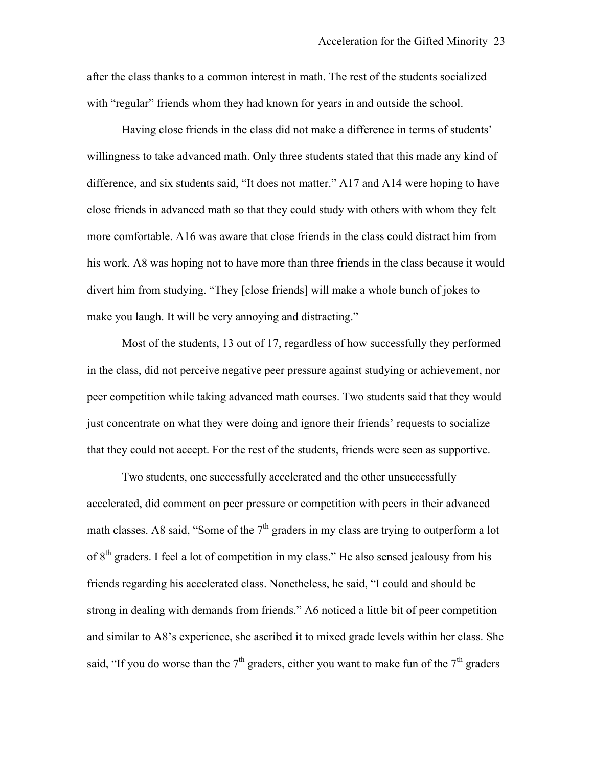after the class thanks to a common interest in math. The rest of the students socialized with "regular" friends whom they had known for years in and outside the school.

make vou laugh. It will be very annoving and distracting." Having close friends in the class did not make a difference in terms of students' willingness to take advanced math. Only three students stated that this made any kind of difference, and six students said, "It does not matter." A17 and A14 were hoping to have close friends in advanced math so that they could study with others with whom they felt more comfortable. A16 was aware that close friends in the class could distract him from his work. A8 was hoping not to have more than three friends in the class because it would divert him from studying. "They [close friends] will make a whole bunch of jokes to

Most of the students, 13 out of 17, regardless of how successfully they performed in the class, did not perceive negative peer pressure against studying or achievement, nor peer competition while taking advanced math courses. Two students said that they would just concentrate on what they were doing and ignore their friends' requests to socialize that they could not accept. For the rest of the students, friends were seen as supportive.

math classes. A8 said, "Some of the  $7<sup>th</sup>$  graders in my class are trying to outperform a lot said, "If you do worse than the  $7<sup>th</sup>$  graders, either you want to make fun of the  $7<sup>th</sup>$  graders Two students, one successfully accelerated and the other unsuccessfully accelerated, did comment on peer pressure or competition with peers in their advanced of 8<sup>th</sup> graders. I feel a lot of competition in my class." He also sensed jealousy from his friends regarding his accelerated class. Nonetheless, he said, "I could and should be strong in dealing with demands from friends." A6 noticed a little bit of peer competition and similar to A8's experience, she ascribed it to mixed grade levels within her class. She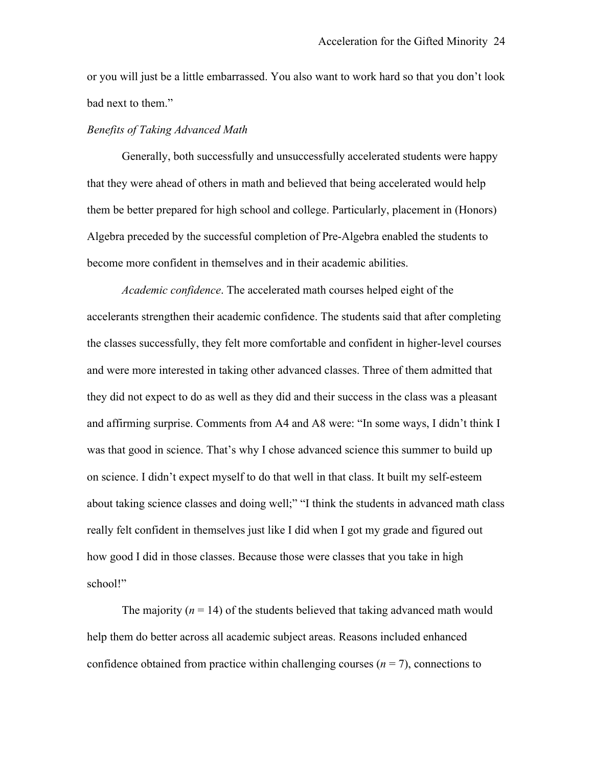or you will just be a little embarrassed. You also want to work hard so that you don't look bad next to them."

# *Benefits of Taking Advanced Math*

Generally, both successfully and unsuccessfully accelerated students were happy that they were ahead of others in math and believed that being accelerated would help them be better prepared for high school and college. Particularly, placement in (Honors) Algebra preceded by the successful completion of Pre-Algebra enabled the students to become more confident in themselves and in their academic abilities.

*Academic confidence*. The accelerated math courses helped eight of the accelerants strengthen their academic confidence. The students said that after completing the classes successfully, they felt more comfortable and confident in higher-level courses and were more interested in taking other advanced classes. Three of them admitted that they did not expect to do as well as they did and their success in the class was a pleasant and affirming surprise. Comments from A4 and A8 were: "In some ways, I didn't think I was that good in science. That's why I chose advanced science this summer to build up on science. I didn't expect myself to do that well in that class. It built my self-esteem about taking science classes and doing well;" "I think the students in advanced math class really felt confident in themselves just like I did when I got my grade and figured out how good I did in those classes. Because those were classes that you take in high school!"

The majority  $(n = 14)$  of the students believed that taking advanced math would help them do better across all academic subject areas. Reasons included enhanced confidence obtained from practice within challenging courses  $(n = 7)$ , connections to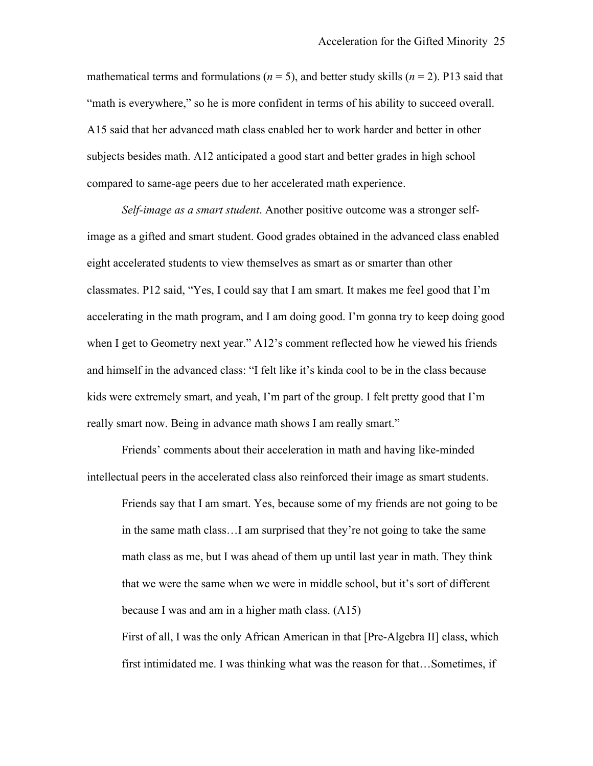mathematical terms and formulations ( $n = 5$ ), and better study skills ( $n = 2$ ). P13 said that "math is everywhere," so he is more confident in terms of his ability to succeed overall. A15 said that her advanced math class enabled her to work harder and better in other subjects besides math. A12 anticipated a good start and better grades in high school compared to same-age peers due to her accelerated math experience.

*Self-image as a smart student*. Another positive outcome was a stronger selfimage as a gifted and smart student. Good grades obtained in the advanced class enabled eight accelerated students to view themselves as smart as or smarter than other classmates. P12 said, "Yes, I could say that I am smart. It makes me feel good that I'm accelerating in the math program, and I am doing good. I'm gonna try to keep doing good when I get to Geometry next year." A12's comment reflected how he viewed his friends and himself in the advanced class: "I felt like it's kinda cool to be in the class because kids were extremely smart, and yeah, I'm part of the group. I felt pretty good that I'm really smart now. Being in advance math shows I am really smart."

Friends' comments about their acceleration in math and having like-minded intellectual peers in the accelerated class also reinforced their image as smart students.

Friends say that I am smart. Yes, because some of my friends are not going to be in the same math class…I am surprised that they're not going to take the same math class as me, but I was ahead of them up until last year in math. They think that we were the same when we were in middle school, but it's sort of different because I was and am in a higher math class. (A15)

First of all, I was the only African American in that [Pre-Algebra II] class, which first intimidated me. I was thinking what was the reason for that…Sometimes, if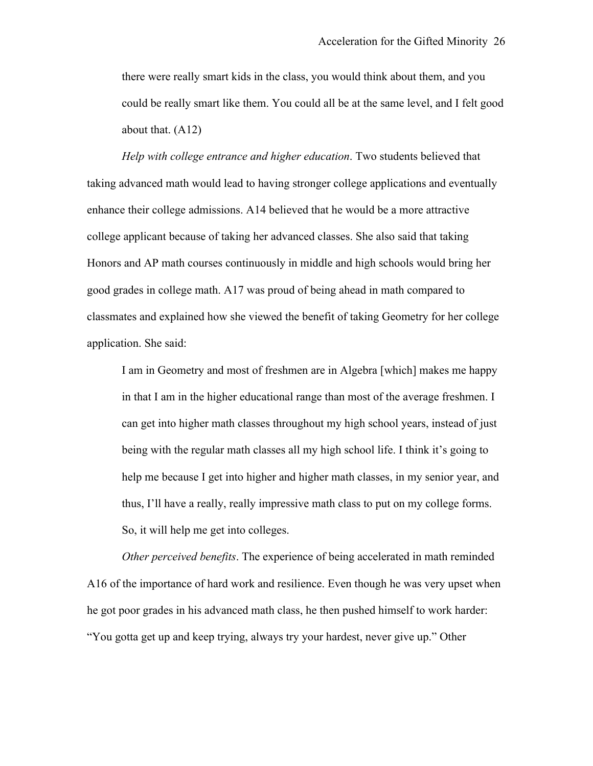there were really smart kids in the class, you would think about them, and you could be really smart like them. You could all be at the same level, and I felt good about that. (A12)

*Help with college entrance and higher education*. Two students believed that taking advanced math would lead to having stronger college applications and eventually enhance their college admissions. A14 believed that he would be a more attractive college applicant because of taking her advanced classes. She also said that taking Honors and AP math courses continuously in middle and high schools would bring her good grades in college math. A17 was proud of being ahead in math compared to classmates and explained how she viewed the benefit of taking Geometry for her college application. She said:

I am in Geometry and most of freshmen are in Algebra [which] makes me happy in that I am in the higher educational range than most of the average freshmen. I can get into higher math classes throughout my high school years, instead of just being with the regular math classes all my high school life. I think it's going to help me because I get into higher and higher math classes, in my senior year, and thus, I'll have a really, really impressive math class to put on my college forms. So, it will help me get into colleges.

*Other perceived benefits*. The experience of being accelerated in math reminded A16 of the importance of hard work and resilience. Even though he was very upset when he got poor grades in his advanced math class, he then pushed himself to work harder: "You gotta get up and keep trying, always try your hardest, never give up." Other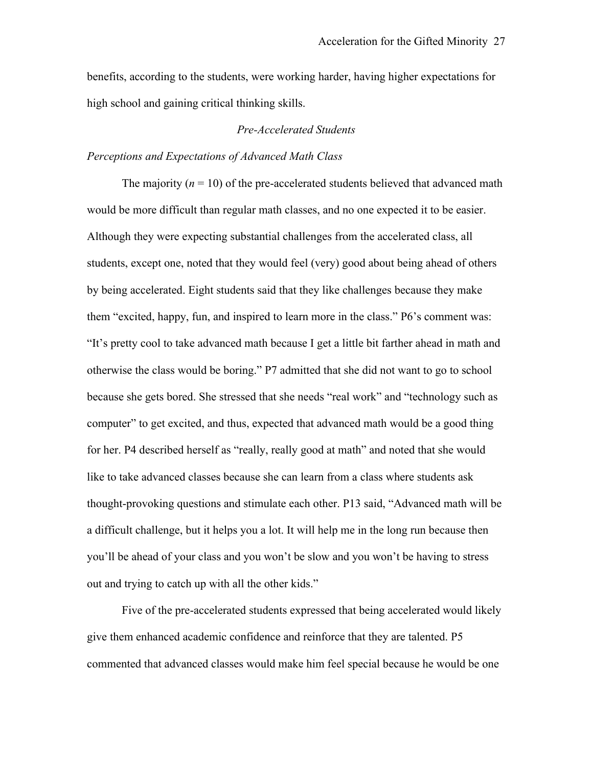benefits, according to the students, were working harder, having higher expectations for high school and gaining critical thinking skills.

# *Pre-Accelerated Students*

### *Perceptions and Expectations of Advanced Math Class*

The majority  $(n = 10)$  of the pre-accelerated students believed that advanced math would be more difficult than regular math classes, and no one expected it to be easier. Although they were expecting substantial challenges from the accelerated class, all students, except one, noted that they would feel (very) good about being ahead of others by being accelerated. Eight students said that they like challenges because they make them "excited, happy, fun, and inspired to learn more in the class." P6's comment was: "It's pretty cool to take advanced math because I get a little bit farther ahead in math and otherwise the class would be boring." P7 admitted that she did not want to go to school because she gets bored. She stressed that she needs "real work" and "technology such as computer" to get excited, and thus, expected that advanced math would be a good thing for her. P4 described herself as "really, really good at math" and noted that she would like to take advanced classes because she can learn from a class where students ask thought-provoking questions and stimulate each other. P13 said, "Advanced math will be a difficult challenge, but it helps you a lot. It will help me in the long run because then you'll be ahead of your class and you won't be slow and you won't be having to stress out and trying to catch up with all the other kids."

Five of the pre-accelerated students expressed that being accelerated would likely give them enhanced academic confidence and reinforce that they are talented. P5 commented that advanced classes would make him feel special because he would be one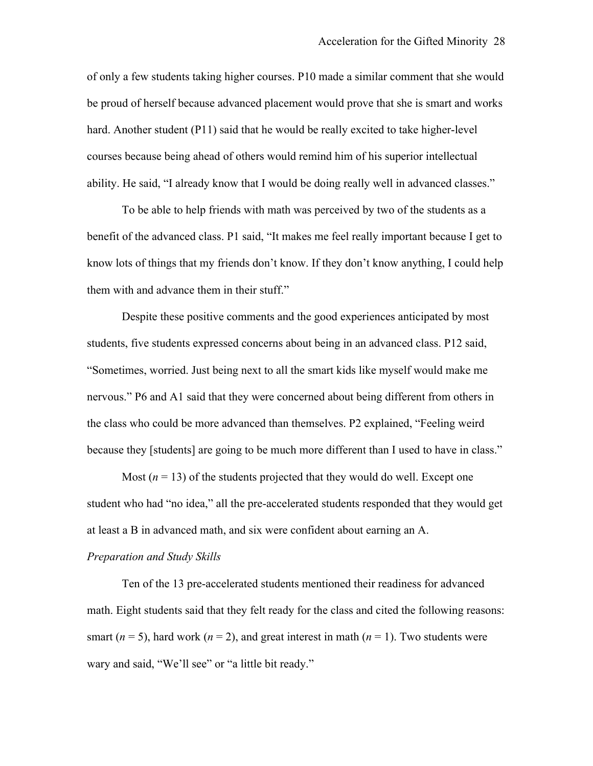of only a few students taking higher courses. P10 made a similar comment that she would be proud of herself because advanced placement would prove that she is smart and works hard. Another student (P11) said that he would be really excited to take higher-level courses because being ahead of others would remind him of his superior intellectual ability. He said, "I already know that I would be doing really well in advanced classes."

To be able to help friends with math was perceived by two of the students as a benefit of the advanced class. P1 said, "It makes me feel really important because I get to know lots of things that my friends don't know. If they don't know anything, I could help them with and advance them in their stuff." Id be doing really well in advanced classes."<br>I was perceived by two of the students as a<br>nakes me feel really important because I get to<br>now. If they don't know anything, I could hel

Despite these positive comments and the good experiences anticipated by most students, five students expressed concerns about being in an advanced class. P12 said, "Sometimes, worried. Just being next to all the smart kids like myself would make me nervous." P6 and A1 said that they were concerned about being different from others in the class who could be more advanced than themselves. P2 explained, "Feeling weird because they [students] are going to be much more different than I used to have in class."

Most  $(n = 13)$  of the students projected that they would do well. Except one student who had "no idea," all the pre-accelerated students responded that they would get at least a B in advanced math, and six were confident about earning an A.

#### *Preparation and Study Skills*

Ten of the 13 pre-accelerated students mentioned their readiness for advanced math. Eight students said that they felt ready for the class and cited the following reasons: smart ( $n = 5$ ), hard work ( $n = 2$ ), and great interest in math ( $n = 1$ ). Two students were wary and said, "We'll see" or "a little bit ready."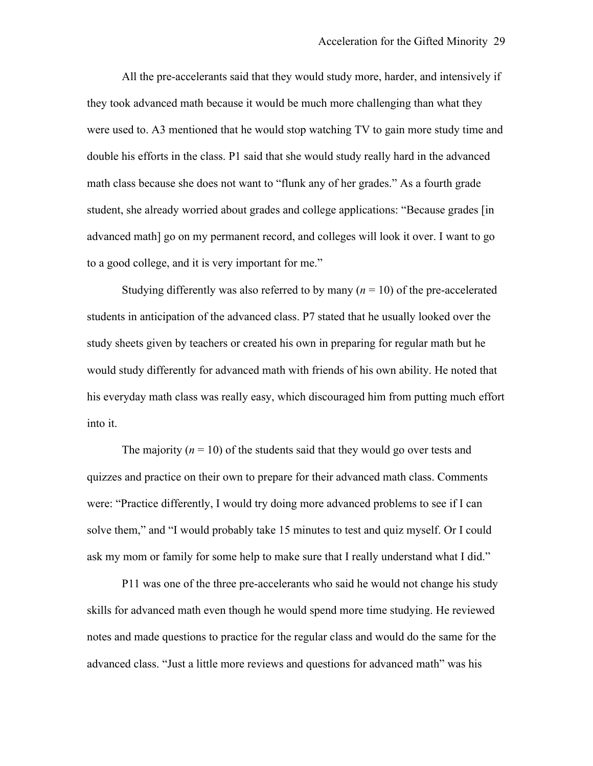to a good college, and it is very important for me." All the pre-accelerants said that they would study more, harder, and intensively if they took advanced math because it would be much more challenging than what they were used to. A3 mentioned that he would stop watching TV to gain more study time and double his efforts in the class. P1 said that she would study really hard in the advanced math class because she does not want to "flunk any of her grades." As a fourth grade student, she already worried about grades and college applications: "Because grades [in advanced math] go on my permanent record, and colleges will look it over. I want to go

Studying differently was also referred to by many  $(n = 10)$  of the pre-accelerated students in anticipation of the advanced class. P7 stated that he usually looked over the study sheets given by teachers or created his own in preparing for regular math but he would study differently for advanced math with friends of his own ability. He noted that his everyday math class was really easy, which discouraged him from putting much effort into it.

The majority  $(n = 10)$  of the students said that they would go over tests and ask my mom or family for some help to make sure that I really understand what I did."<br>P11 was one of the three pre-accelerants who said he would not change his study quizzes and practice on their own to prepare for their advanced math class. Comments were: "Practice differently, I would try doing more advanced problems to see if I can solve them," and "I would probably take 15 minutes to test and quiz myself. Or I could

skills for advanced math even though he would spend more time studying. He reviewed notes and made questions to practice for the regular class and would do the same for the advanced class. "Just a little more reviews and questions for advanced math" was his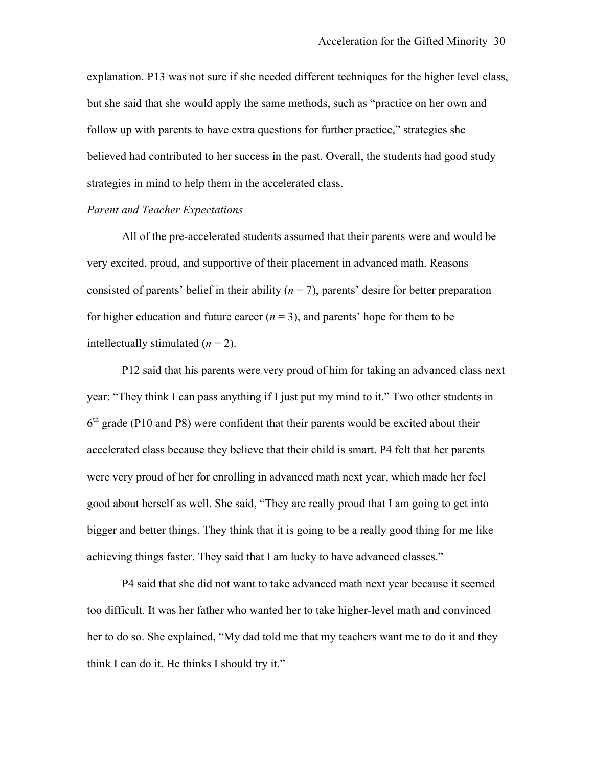explanation. P13 was not sure if she needed different techniques for the higher level class, but she said that she would apply the same methods, such as "practice on her own and follow up with parents to have extra questions for further practice," strategies she believed had contributed to her success in the past. Overall, the students had good study strategies in mind to help them in the accelerated class.

# *Parent and Teacher Expectations*

All of the pre-accelerated students assumed that their parents were and would be very excited, proud, and supportive of their placement in advanced math. Reasons consisted of parents' belief in their ability  $(n = 7)$ , parents' desire for better preparation for higher education and future career  $(n = 3)$ , and parents' hope for them to be intellectually stimulated  $(n = 2)$ .

P12 said that his parents were very proud of him for taking an advanced class next year: "They think I can pass anything if I just put my mind to it." Two other students in  $6<sup>th</sup>$  grade (P10 and P8) were confident that their parents would be excited about their accelerated class because they believe that their child is smart. P4 felt that her parents were very proud of her for enrolling in advanced math next year, which made her feel good about herself as well. She said, "They are really proud that I am going to get into bigger and better things. They think that it is going to be a really good thing for me like achieving things faster. They said that I am lucky to have advanced classes."

P4 said that she did not want to take advanced math next year because it seemed too difficult. It was her father who wanted her to take higher-level math and convinced her to do so. She explained, "My dad told me that my teachers want me to do it and they think I can do it. He thinks I should try it."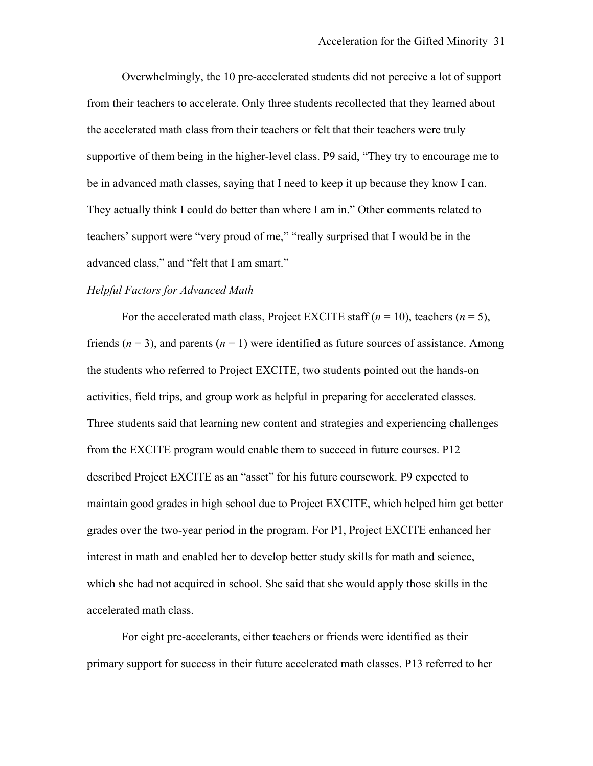Overwhelmingly, the 10 pre-accelerated students did not perceive a lot of support from their teachers to accelerate. Only three students recollected that they learned about the accelerated math class from their teachers or felt that their teachers were truly supportive of them being in the higher-level class. P9 said, "They try to encourage me to be in advanced math classes, saying that I need to keep it up because they know I can. They actually think I could do better than where I am in." Other comments related to teachers' support were "very proud of me," "really surprised that I would be in the advanced class," and "felt that I am smart."

### *Helpful Factors for Advanced Math*

For the accelerated math class, Project EXCITE staff  $(n = 10)$ , teachers  $(n = 5)$ , friends ( $n = 3$ ), and parents ( $n = 1$ ) were identified as future sources of assistance. Among the students who referred to Project EXCITE, two students pointed out the hands-on activities, field trips, and group work as helpful in preparing for accelerated classes. Three students said that learning new content and strategies and experiencing challenges from the EXCITE program would enable them to succeed in future courses. P12 described Project EXCITE as an "asset" for his future coursework. P9 expected to maintain good grades in high school due to Project EXCITE, which helped him get better grades over the two-year period in the program. For P1, Project EXCITE enhanced her interest in math and enabled her to develop better study skills for math and science, which she had not acquired in school. She said that she would apply those skills in the accelerated math class.

For eight pre-accelerants, either teachers or friends were identified as their primary support for success in their future accelerated math classes. P13 referred to her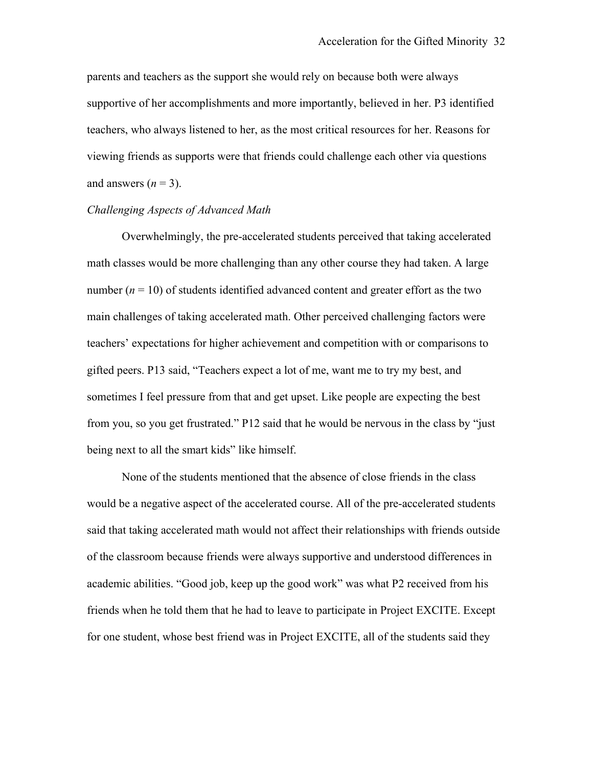parents and teachers as the support she would rely on because both were always supportive of her accomplishments and more importantly, believed in her. P3 identified teachers, who always listened to her, as the most critical resources for her. Reasons for viewing friends as supports were that friends could challenge each other via questions and answers  $(n = 3)$ .

# *Challenging Aspects of Advanced Math*

Overwhelmingly, the pre-accelerated students perceived that taking accelerated math classes would be more challenging than any other course they had taken. A large number  $(n = 10)$  of students identified advanced content and greater effort as the two main challenges of taking accelerated math. Other perceived challenging factors were teachers' expectations for higher achievement and competition with or comparisons to gifted peers. P13 said, "Teachers expect a lot of me, want me to try my best, and sometimes I feel pressure from that and get upset. Like people are expecting the best from you, so you get frustrated." P12 said that he would be nervous in the class by "just being next to all the smart kids" like himself.

None of the students mentioned that the absence of close friends in the class would be a negative aspect of the accelerated course. All of the pre-accelerated students said that taking accelerated math would not affect their relationships with friends outside of the classroom because friends were always supportive and understood differences in academic abilities. "Good job, keep up the good work" was what P2 received from his friends when he told them that he had to leave to participate in Project EXCITE. Except for one student, whose best friend was in Project EXCITE, all of the students said they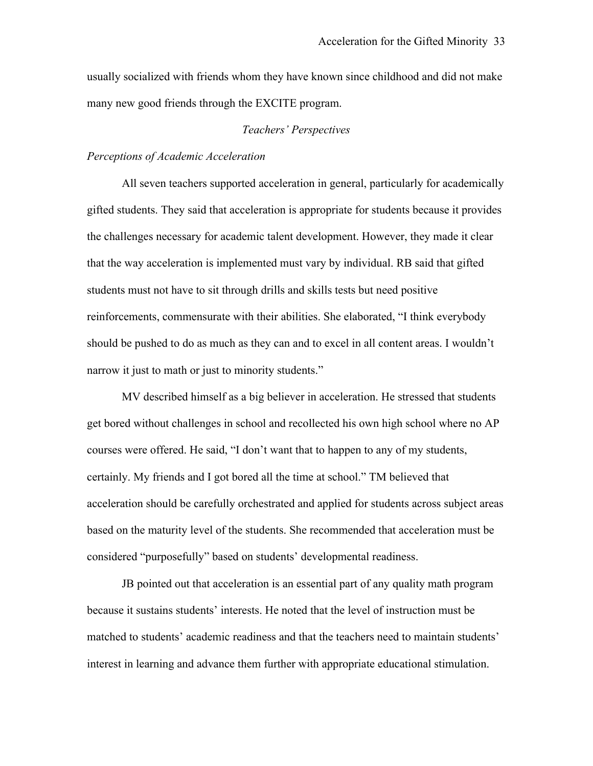usually socialized with friends whom they have known since childhood and did not make many new good friends through the EXCITE program.

# *Teachers' Perspectives*

## *Perceptions of Academic Acceleration*

All seven teachers supported acceleration in general, particularly for academically gifted students. They said that acceleration is appropriate for students because it provides the challenges necessary for academic talent development. However, they made it clear that the way acceleration is implemented must vary by individual. RB said that gifted students must not have to sit through drills and skills tests but need positive reinforcements, commensurate with their abilities. She elaborated, "I think everybody should be pushed to do as much as they can and to excel in all content areas. I wouldn't narrow it just to math or just to minority students."

MV described himself as a big believer in acceleration. He stressed that students get bored without challenges in school and recollected his own high school where no AP courses were offered. He said, "I don't want that to happen to any of my students, certainly. My friends and I got bored all the time at school." TM believed that acceleration should be carefully orchestrated and applied for students across subject areas based on the maturity level of the students. She recommended that acceleration must be considered "purposefully" based on students' developmental readiness.

JB pointed out that acceleration is an essential part of any quality math program because it sustains students' interests. He noted that the level of instruction must be matched to students' academic readiness and that the teachers need to maintain students' interest in learning and advance them further with appropriate educational stimulation.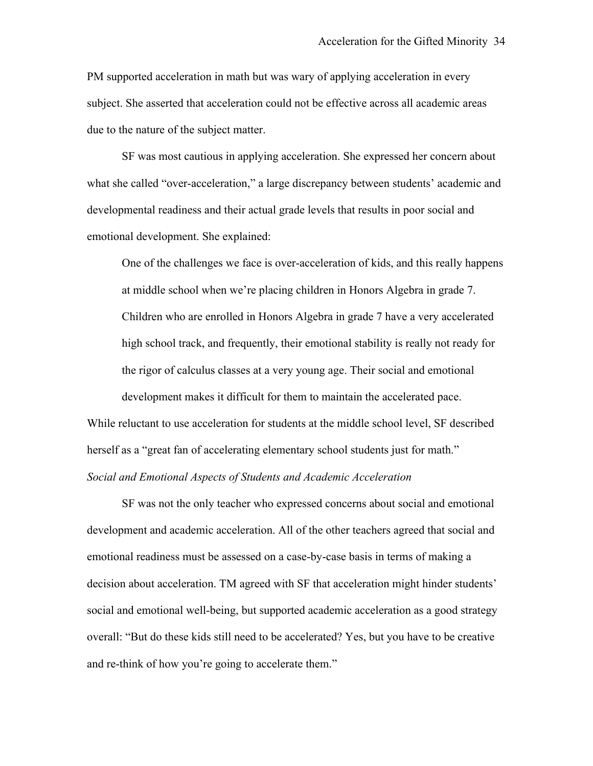PM supported acceleration in math but was wary of applying acceleration in every due to the nature of the subject matter. subject. She asserted that acceleration could not be effective across all academic areas

 SF was most cautious in applying acceleration. She expressed her concern about emotional development. She explained: what she called "over-acceleration," a large discrepancy between students' academic and developmental readiness and their actual grade levels that results in poor social and

 the rigor of calculus classes at a very young age. Their social and emotional development makes it difficult for them to maintain the accelerated pace. emotional development. She explained:<br>
One of the challenges we face is over-acceleration of kids, and this really happens<br>
at middle school when we're placing children in Honors Algebra in grade 7. Children who are enrolled in Honors Algebra in grade 7 have a very accelerated high school track, and frequently, their emotional stability is really not ready for

 herself as a "great fan of accelerating elementary school students just for math." While reluctant to use acceleration for students at the middle school level, SF described *Social and Emotional Aspects of Students and Academic Acceleration* 

 and re-think of how you're going to accelerate them." SF was not the only teacher who expressed concerns about social and emotional development and academic acceleration. All of the other teachers agreed that social and emotional readiness must be assessed on a case-by-case basis in terms of making a decision about acceleration. TM agreed with SF that acceleration might hinder students' social and emotional well-being, but supported academic acceleration as a good strategy overall: "But do these kids still need to be accelerated? Yes, but you have to be creative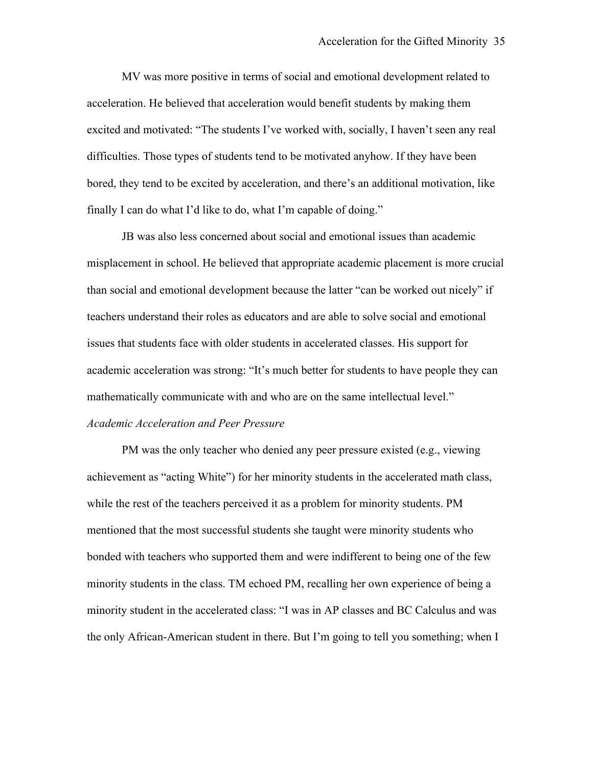MV was more positive in terms of social and emotional development related to acceleration. He believed that acceleration would benefit students by making them excited and motivated: "The students I've worked with, socially, I haven't seen any real difficulties. Those types of students tend to be motivated anyhow. If they have been bored, they tend to be excited by acceleration, and there's an additional motivation, like finally I can do what I'd like to do, what I'm capable of doing."

JB was also less concerned about social and emotional issues than academic misplacement in school. He believed that appropriate academic placement is more crucial than social and emotional development because the latter "can be worked out nicely" if teachers understand their roles as educators and are able to solve social and emotional issues that students face with older students in accelerated classes. His support for academic acceleration was strong: "It's much better for students to have people they can mathematically communicate with and who are on the same intellectual level." *Academic Acceleration and Peer Pressure* 

PM was the only teacher who denied any peer pressure existed (e.g., viewing achievement as "acting White") for her minority students in the accelerated math class, while the rest of the teachers perceived it as a problem for minority students. PM mentioned that the most successful students she taught were minority students who bonded with teachers who supported them and were indifferent to being one of the few minority students in the class. TM echoed PM, recalling her own experience of being a minority student in the accelerated class: "I was in AP classes and BC Calculus and was the only African-American student in there. But I'm going to tell you something; when I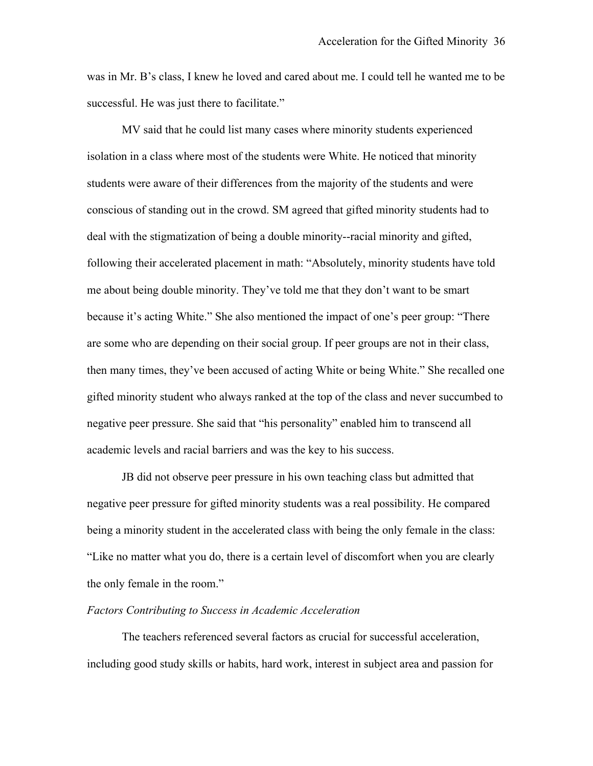was in Mr. B's class, I knew he loved and cared about me. I could tell he wanted me to be successful. He was just there to facilitate."

MV said that he could list many cases where minority students experienced isolation in a class where most of the students were White. He noticed that minority students were aware of their differences from the majority of the students and were conscious of standing out in the crowd. SM agreed that gifted minority students had to deal with the stigmatization of being a double minority--racial minority and gifted, following their accelerated placement in math: "Absolutely, minority students have told me about being double minority. They've told me that they don't want to be smart because it's acting White." She also mentioned the impact of one's peer group: "There are some who are depending on their social group. If peer groups are not in their class, then many times, they've been accused of acting White or being White." She recalled one gifted minority student who always ranked at the top of the class and never succumbed to negative peer pressure. She said that "his personality" enabled him to transcend all academic levels and racial barriers and was the key to his success.

JB did not observe peer pressure in his own teaching class but admitted that negative peer pressure for gifted minority students was a real possibility. He compared being a minority student in the accelerated class with being the only female in the class: "Like no matter what you do, there is a certain level of discomfort when you are clearly the only female in the room."

# *Factors Contributing to Success in Academic Acceleration*

The teachers referenced several factors as crucial for successful acceleration, including good study skills or habits, hard work, interest in subject area and passion for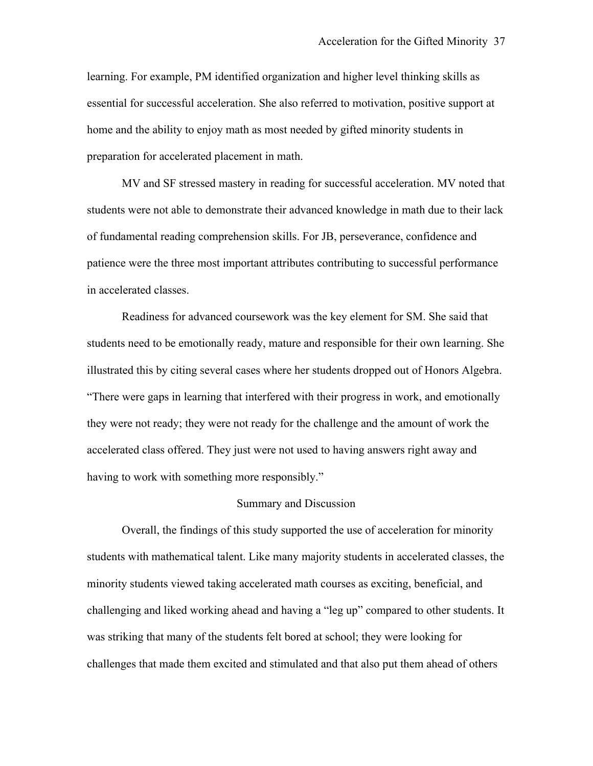learning. For example, PM identified organization and higher level thinking skills as essential for successful acceleration. She also referred to motivation, positive support at home and the ability to enjoy math as most needed by gifted minority students in preparation for accelerated placement in math.

MV and SF stressed mastery in reading for successful acceleration. MV noted that students were not able to demonstrate their advanced knowledge in math due to their lack of fundamental reading comprehension skills. For JB, perseverance, confidence and patience were the three most important attributes contributing to successful performance in accelerated classes.

Readiness for advanced coursework was the key element for SM. She said that students need to be emotionally ready, mature and responsible for their own learning. She illustrated this by citing several cases where her students dropped out of Honors Algebra. "There were gaps in learning that interfered with their progress in work, and emotionally they were not ready; they were not ready for the challenge and the amount of work the accelerated class offered. They just were not used to having answers right away and having to work with something more responsibly."

# Summary and Discussion

Overall, the findings of this study supported the use of acceleration for minority students with mathematical talent. Like many majority students in accelerated classes, the minority students viewed taking accelerated math courses as exciting, beneficial, and challenging and liked working ahead and having a "leg up" compared to other students. It was striking that many of the students felt bored at school; they were looking for challenges that made them excited and stimulated and that also put them ahead of others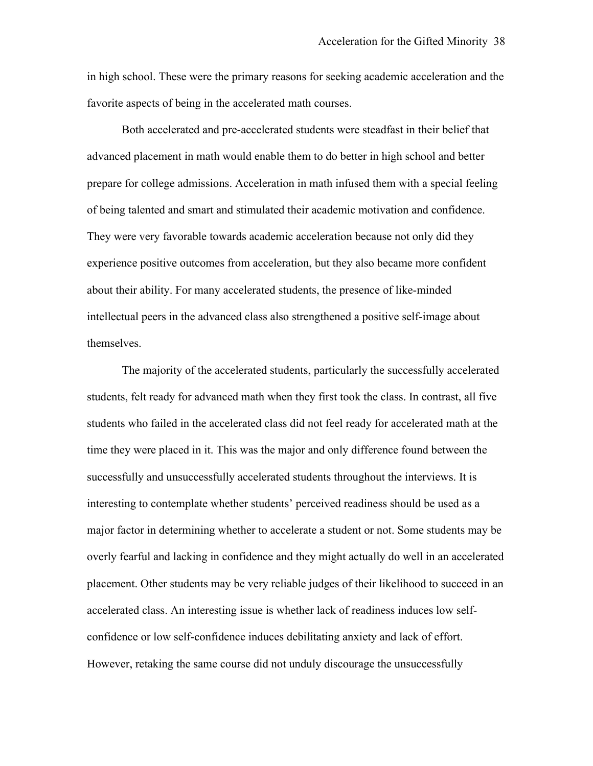favorite aspects of being in the accelerated math courses. favorite aspects of being in the accelerated math courses. Both accelerated and pre-accelerated students were steadfast in their belief that in high school. These were the primary reasons for seeking academic acceleration and the

advanced placement in math would enable them to do better in high school and better prepare for college admissions. Acceleration in math infused them with a special feeling of being talented and smart and stimulated their academic motivation and confidence. They were very favorable towards academic acceleration because not only did they experience positive outcomes from acceleration, but they also became more confident about their ability. For many accelerated students, the presence of like-minded intellectual peers in the advanced class also strengthened a positive self-image about themselves.

The majority of the accelerated students, particularly the successfully accelerated students, felt ready for advanced math when they first took the class. In contrast, all five students who failed in the accelerated class did not feel ready for accelerated math at the time they were placed in it. This was the major and only difference found between the successfully and unsuccessfully accelerated students throughout the interviews. It is interesting to contemplate whether students' perceived readiness should be used as a major factor in determining whether to accelerate a student or not. Some students may be overly fearful and lacking in confidence and they might actually do well in an accelerated placement. Other students may be very reliable judges of their likelihood to succeed in an accelerated class. An interesting issue is whether lack of readiness induces low selfconfidence or low self-confidence induces debilitating anxiety and lack of effort. However, retaking the same course did not unduly discourage the unsuccessfully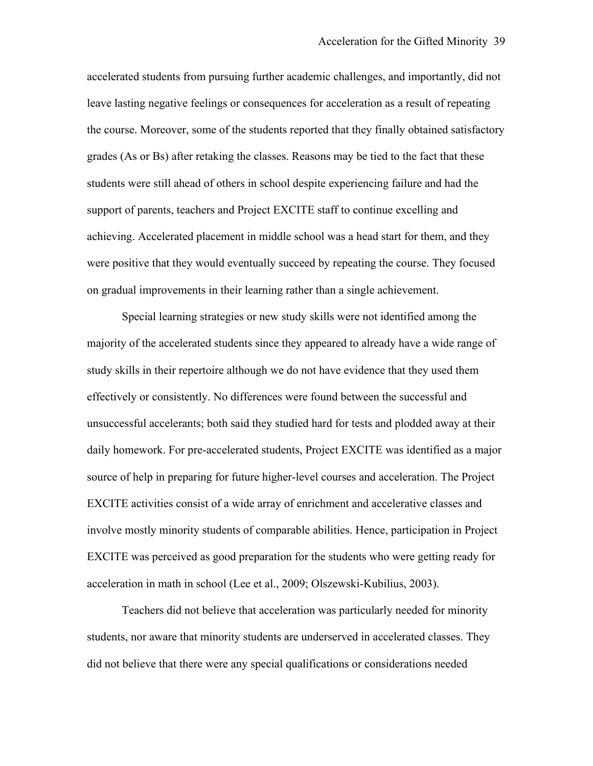accelerated students from pursuing further academic challenges, and importantly, did not leave lasting negative feelings or consequences for acceleration as a result of repeating the course. Moreover, some of the students reported that they finally obtained satisfactory grades (As or Bs) after retaking the classes. Reasons may be tied to the fact that these students were still ahead of others in school despite experiencing failure and had the support of parents, teachers and Project EXCITE staff to continue excelling and achieving. Accelerated placement in middle school was a head start for them, and they were positive that they would eventually succeed by repeating the course. They focused on gradual improvements in their learning rather than a single achievement.

 effectively or consistently. No differences were found between the successful and acceleration in math in school (Lee et al., 2009; Olszewski-Kubilius, 2003). Special learning strategies or new study skills were not identified among the majority of the accelerated students since they appeared to already have a wide range of study skills in their repertoire although we do not have evidence that they used them unsuccessful accelerants; both said they studied hard for tests and plodded away at their daily homework. For pre-accelerated students, Project EXCITE was identified as a major source of help in preparing for future higher-level courses and acceleration. The Project EXCITE activities consist of a wide array of enrichment and accelerative classes and involve mostly minority students of comparable abilities. Hence, participation in Project EXCITE was perceived as good preparation for the students who were getting ready for

Teachers did not believe that acceleration was particularly needed for minority students, nor aware that minority students are underserved in accelerated classes. They did not believe that there were any special qualifications or considerations needed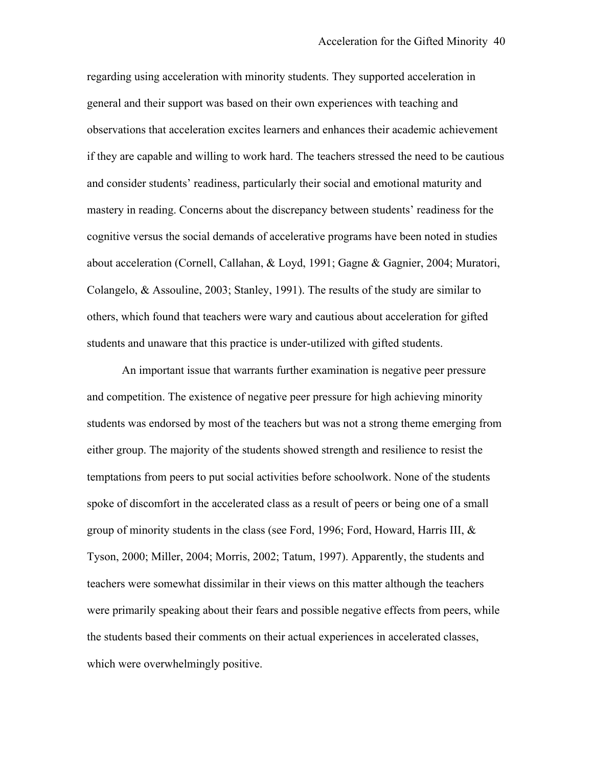students and unaware that this practice is under-utilized with gifted students. regarding using acceleration with minority students. They supported acceleration in general and their support was based on their own experiences with teaching and observations that acceleration excites learners and enhances their academic achievement if they are capable and willing to work hard. The teachers stressed the need to be cautious and consider students' readiness, particularly their social and emotional maturity and mastery in reading. Concerns about the discrepancy between students' readiness for the cognitive versus the social demands of accelerative programs have been noted in studies about acceleration (Cornell, Callahan, & Loyd, 1991; Gagne & Gagnier, 2004; Muratori, Colangelo, & Assouline, 2003; Stanley, 1991). The results of the study are similar to others, which found that teachers were wary and cautious about acceleration for gifted

 students was endorsed by most of the teachers but was not a strong theme emerging from which were overwhelmingly positive. An important issue that warrants further examination is negative peer pressure and competition. The existence of negative peer pressure for high achieving minority either group. The majority of the students showed strength and resilience to resist the temptations from peers to put social activities before schoolwork. None of the students spoke of discomfort in the accelerated class as a result of peers or being one of a small group of minority students in the class (see Ford, 1996; Ford, Howard, Harris III, & Tyson, 2000; Miller, 2004; Morris, 2002; Tatum, 1997). Apparently, the students and teachers were somewhat dissimilar in their views on this matter although the teachers were primarily speaking about their fears and possible negative effects from peers, while the students based their comments on their actual experiences in accelerated classes,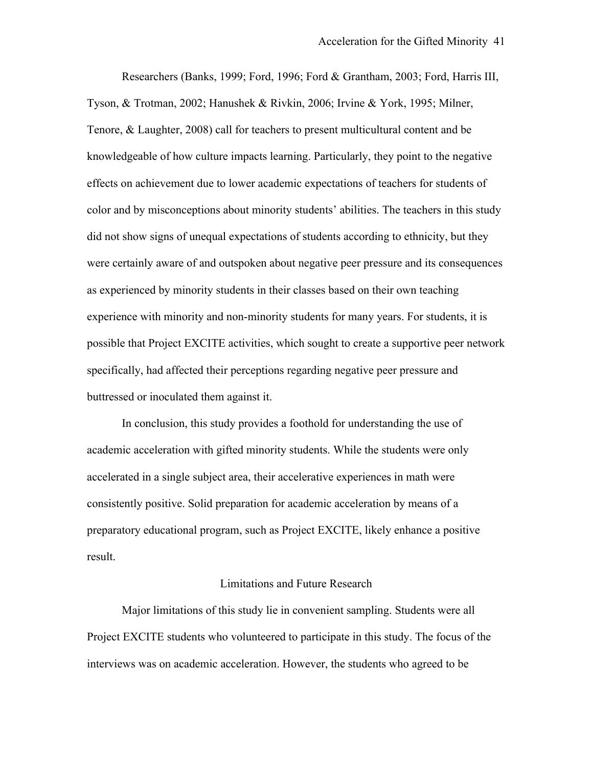Researchers (Banks, 1999; Ford, 1996; Ford & Grantham, 2003; Ford, Harris III, Tyson, & Trotman, 2002; Hanushek & Rivkin, 2006; Irvine & York, 1995; Milner, Tenore, & Laughter, 2008) call for teachers to present multicultural content and be knowledgeable of how culture impacts learning. Particularly, they point to the negative effects on achievement due to lower academic expectations of teachers for students of color and by misconceptions about minority students' abilities. The teachers in this study did not show signs of unequal expectations of students according to ethnicity, but they were certainly aware of and outspoken about negative peer pressure and its consequences as experienced by minority students in their classes based on their own teaching experience with minority and non-minority students for many years. For students, it is possible that Project EXCITE activities, which sought to create a supportive peer network specifically, had affected their perceptions regarding negative peer pressure and buttressed or inoculated them against it.

In conclusion, this study provides a foothold for understanding the use of academic acceleration with gifted minority students. While the students were only accelerated in a single subject area, their accelerative experiences in math were consistently positive. Solid preparation for academic acceleration by means of a preparatory educational program, such as Project EXCITE, likely enhance a positive result.

### Limitations and Future Research

Major limitations of this study lie in convenient sampling. Students were all Project EXCITE students who volunteered to participate in this study. The focus of the interviews was on academic acceleration. However, the students who agreed to be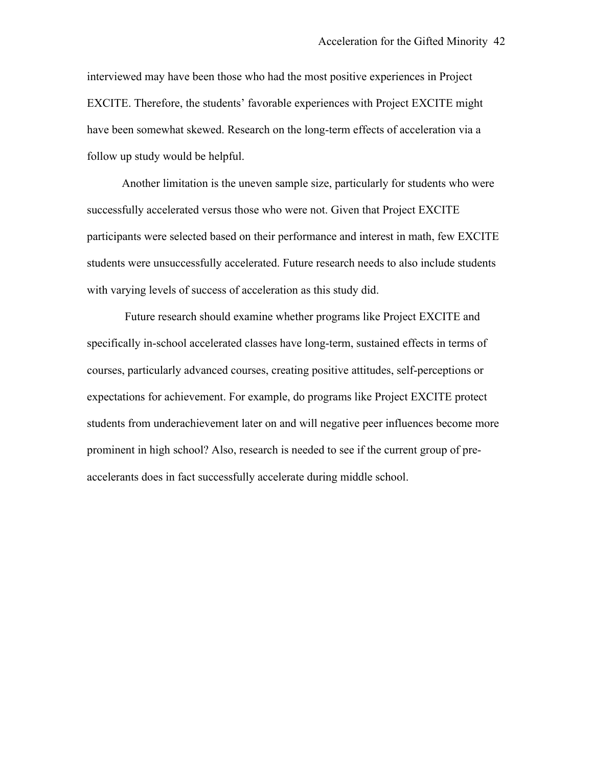interviewed may have been those who had the most positive experiences in Project EXCITE. Therefore, the students' favorable experiences with Project EXCITE might have been somewhat skewed. Research on the long-term effects of acceleration via a follow up study would be helpful.

 Another limitation is the uneven sample size, particularly for students who were with varying levels of success of acceleration as this study did. successfully accelerated versus those who were not. Given that Project EXCITE participants were selected based on their performance and interest in math, few EXCITE students were unsuccessfully accelerated. Future research needs to also include students

 accelerants does in fact successfully accelerate during middle school. Future research should examine whether programs like Project EXCITE and specifically in-school accelerated classes have long-term, sustained effects in terms of courses, particularly advanced courses, creating positive attitudes, self-perceptions or expectations for achievement. For example, do programs like Project EXCITE protect students from underachievement later on and will negative peer influences become more prominent in high school? Also, research is needed to see if the current group of pre-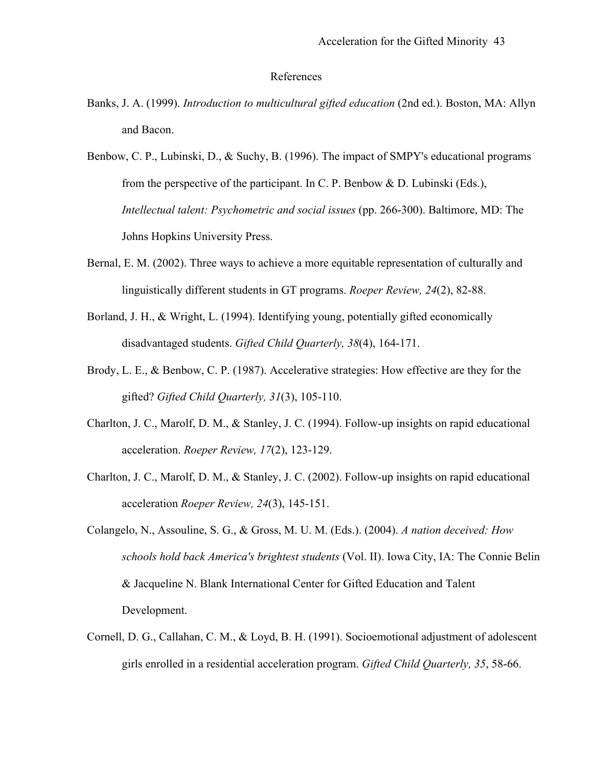### References

- Banks, J. A. (1999). *Introduction to multicultural gifted education* (2nd ed.). Boston, MA: Allyn and Bacon.
- Benbow, C. P., Lubinski, D., & Suchy, B. (1996). The impact of SMPY's educational programs from the perspective of the participant. In C. P. Benbow  $\&$  D. Lubinski (Eds.), *Intellectual talent: Psychometric and social issues (pp. 266-300). Baltimore, MD: The* Johns Hopkins University Press.
- Bernal, E. M. (2002). Three ways to achieve a more equitable representation of culturally and linguistically different students in GT programs. *Roeper Review, 24*(2), 82-88.
- Borland, J. H., & Wright, L. (1994). Identifying young, potentially gifted economically disadvantaged students. *Gifted Child Quarterly, 38*(4), 164-171.
- Brody, L. E., & Benbow, C. P. (1987). Accelerative strategies: How effective are they for the gifted? *Gifted Child Quarterly, 31*(3), 105-110.
- Charlton, J. C., Marolf, D. M., & Stanley, J. C. (1994). Follow-up insights on rapid educational acceleration. *Roeper Review, 17*(2), 123-129.
- Charlton, J. C., Marolf, D. M., & Stanley, J. C. (2002). Follow-up insights on rapid educational acceleration *Roeper Review, 24*(3), 145-151.
- Colangelo, N., Assouline, S. G., & Gross, M. U. M. (Eds.). (2004). *A nation deceived: How schools hold back America's brightest students* (Vol. II). Iowa City, IA: The Connie Belin & Jacqueline N. Blank International Center for Gifted Education and Talent Development.
- Cornell, D. G., Callahan, C. M., & Loyd, B. H. (1991). Socioemotional adjustment of adolescent girls enrolled in a residential acceleration program. *Gifted Child Quarterly, 35*, 58-66.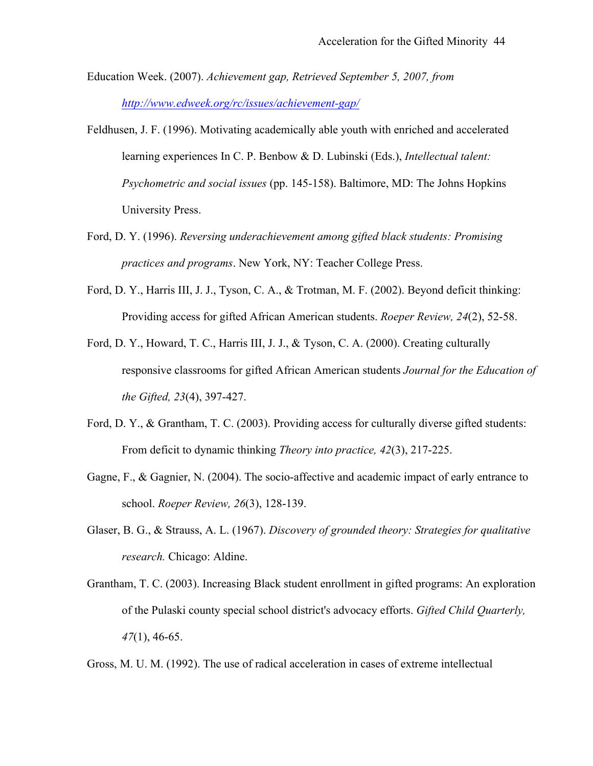- Education Week. (2007). *Achievement gap, Retrieved September 5, 2007, from http://www.edweek.org/rc/issues/achievement-gap/*
- *Psychometric and social issues* (pp. 145-158). Baltimore, MD: The Johns Hopkins University Press. Feldhusen, J. F. (1996). Motivating academically able youth with enriched and accelerated learning experiences In C. P. Benbow & D. Lubinski (Eds.), *Intellectual talent:*
- Ford, D. Y. (1996). *Reversing underachievement among gifted black students: Promising practices and programs*. New York, NY: Teacher College Press.
- Ford, D. Y., Harris III, J. J., Tyson, C. A., & Trotman, M. F. (2002). Beyond deficit thinking: Providing access for gifted African American students. *Roeper Review, 24*(2), 52-58.
- responsive classrooms for gifted African American students *Journal for the Education of*<br>*the Gifted, 23*(4), 397-427. Ford, D. Y., Howard, T. C., Harris III, J. J., & Tyson, C. A. (2000). Creating culturally
- Ford, D. Y., & Grantham, T. C. (2003). Providing access for culturally diverse gifted students: From deficit to dynamic thinking *Theory into practice, 42*(3), 217-225.
- Gagne, F., & Gagnier, N. (2004). The socio-affective and academic impact of early entrance to school. *Roeper Review, 26*(3), 128-139.
- Glaser, B. G., & Strauss, A. L. (1967). *Discovery of grounded theory: Strategies for qualitative research.* Chicago: Aldine.
- Grantham, T. C. (2003). Increasing Black student enrollment in gifted programs: An exploration of the Pulaski county special school district's advocacy efforts. *Gifted Child Quarterly, 47*(1), 46-65.

Gross, M. U. M. (1992). The use of radical acceleration in cases of extreme intellectual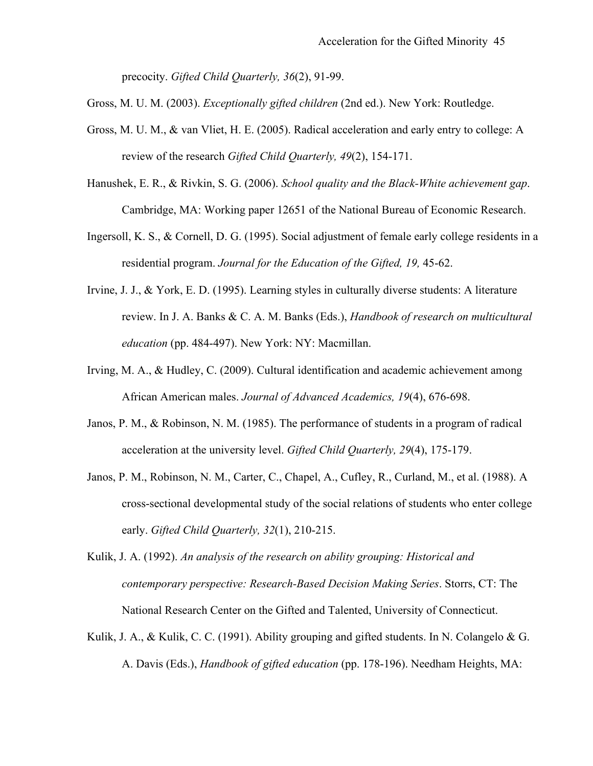precocity. *Gifted Child Quarterly, 36*(2), 91-99.

Gross, M. U. M. (2003). *Exceptionally gifted children* (2nd ed.). New York: Routledge.

- Gross, M. U. M., & van Vliet, H. E. (2005). Radical acceleration and early entry to college: A review of the research *Gifted Child Quarterly, 49*(2), 154-171.
- Hanushek, E. R., & Rivkin, S. G. (2006). *School quality and the Black-White achievement gap*. Cambridge, MA: Working paper 12651 of the National Bureau of Economic Research.
- Ingersoll, K. S., & Cornell, D. G. (1995). Social adjustment of female early college residents in a residential program. *Journal for the Education of the Gifted, 19,* 45-62.
- Irvine, J. J., & York, E. D. (1995). Learning styles in culturally diverse students: A literature Irvine, J. J., & York, E. D. (1995). Learning styles in culturally diverse students: A literature<br>review. In J. A. Banks & C. A. M. Banks (Eds.), *Handbook of research on multicultural*<br>*education* (pp. 484-497). New York:
- Irving, M. A., & Hudley, C. (2009). Cultural identification and academic achievement among African American males. *Journal of Advanced Academics, 19*(4), 676-698.
- Janos, P. M., & Robinson, N. M. (1985). The performance of students in a program of radical acceleration at the university level. *Gifted Child Quarterly, 29*(4), 175-179.
- Janos, P. M., Robinson, N. M., Carter, C., Chapel, A., Cufley, R., Curland, M., et al. (1988). A cross-sectional developmental study of the social relations of students who enter college early. *Gifted Child Quarterly*, 32 cross-sectional developmental study of the social relations of students who enter college
- *contemporary perspective: Research-Based Decision Making Series*. Storrs, CT: The National Research Center on the Gifted and Talented, University of Connecticut. Kulik, J. A. (1992). *An analysis of the research on ability grouping: Historical and*
- A. Davis (Eds.), *Handbook of gifted education* (pp. 178-196). Needham Heights, MA: Kulik, J. A., & Kulik, C. C. (1991). Ability grouping and gifted students. In N. Colangelo & G.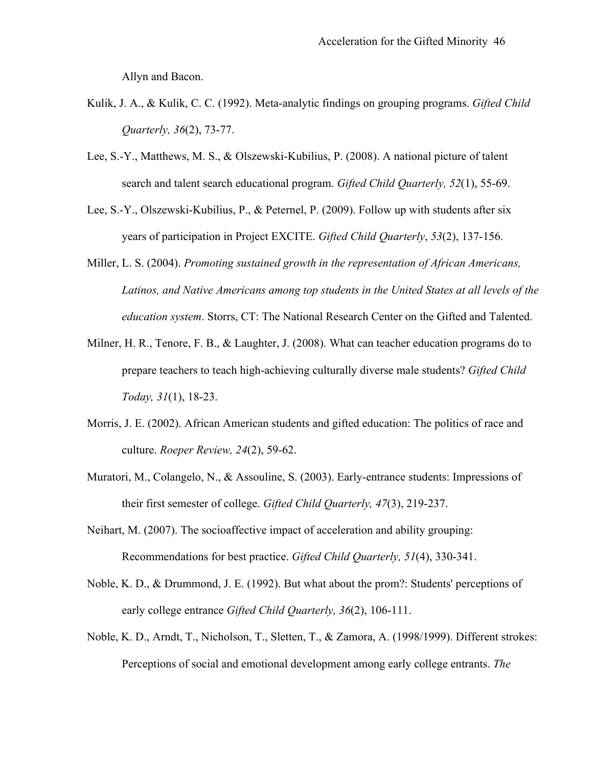Allyn and Bacon.

- Kulik, J. A., & Kulik, C. C. (1992). Meta-analytic findings on grouping programs. *Gifted Child Quarterly, 36*(2), 73-77.
- Lee, S.-Y., Matthews, M. S., & Olszewski-Kubilius, P. (2008). A national picture of talent search and talent search educational program. *Gifted Child Quarterly, 52*(1), 55-69.
- Lee, S.-Y., Olszewski-Kubilius, P., & Peternel, P. (2009). Follow up with students after six years of participation in Project EXCITE. *Gifted Child Quarterly*, *53*(2), 137-156.
- *Latinos, and Native Americans among top students in the United States at all levels of the education system*. Storrs, CT: The National Research Center on the Gifted and Talented. Miller, L. S. (2004). *Promoting sustained growth in the representation of African Americans,*
- Milner, H. R., Tenore, F. B., & Laughter, J. (2008). What can teacher education programs do to prepare teachers to teach high-achieving culturally diverse male students? *Gifted Child Today, 31*(1), 18-23.
- Morris, J. E. (2002). African American students and gifted education: The politics of race and culture. *Roeper Review, 24*(2), 59-62.
- Muratori, M., Colangelo, N., & Assouline, S. (2003). Early-entrance students: Impressions of their first semester of college. *Gifted Child Quarterly, 47*(3), 219-237.
- Neihart, M. (2007). The socioaffective impact of acceleration and ability grouping: Recommendations for best practice. *Gifted Child Quarterly, 51*(4), 330-341.
- Noble, K. D., & Drummond, J. E. (1992). But what about the prom?: Students' perceptions of early college entrance *Gifted Child Quarterly, 36*(2), 106-111.
- Noble, K. D., Arndt, T., Nicholson, T., Sletten, T., & Zamora, A. (1998/1999). Different strokes: Perceptions of social and emotional development among early college entrants. *The* Perceptions of social and emotional development among early college entrants. The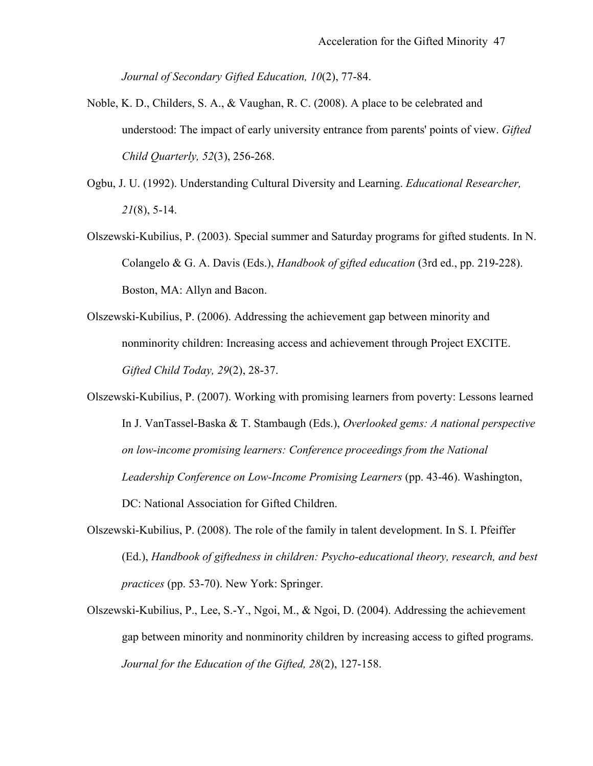*Journal of Secondary Gifted Education, 10*(2), 77-84.

- Noble, K. D., Childers, S. A., & Vaughan, R. C. (2008). A place to be celebrated and understood: The impact of early university entrance from parents' points of view. *Gifted Child Quarterly, 52*(3), 256-268.
- Ogbu, J. U. (1992). Understanding Cultural Diversity and Learning. *Educational Researcher, 21*(8), 5-14.
- Olszewski-Kubilius, P. (2003). Special summer and Saturday programs for gifted students. In N. Colangelo & G. A. Davis (Eds.), *Handbook of gifted education* (3rd ed., pp. 219-228). Boston, MA: Allyn and Bacon.
- Olszewski-Kubilius, P. (2006). Addressing the achievement gap between minority and nonminority children: Increasing access and achievement through Project EXCITE. *Gifted Child Today, 29*(2), 28-37.
- In J. VanTassel-Baska & T. Stambaugh (Eds.), Overlooked gems: A national perspective *on low-income promising learners: Conference proceedings from the National* Olszewski-Kubilius, P. (2007). Working with promising learners from poverty: Lessons learned Leadership Conference on Low-Income Promising Learners (pp. 43-46). Washington, DC: National Association for Gifted Children.
- (Ed.), *Handbook of giftedness in children: Psycho-educational theory, research, and best*<br>practices (pp. 53-70). New York: Springer. Olszewski-Kubilius, P. (2008). The role of the family in talent development. In S. I. Pfeiffer
- Olszewski-Kubilius, P., Lee, S.-Y., Ngoi, M., & Ngoi, D. (2004). Addressing the achievement gap between minority and nonminority children by increasing access to gifted programs. *Journal for the Education of the Gifted, 28*(2), 127-158.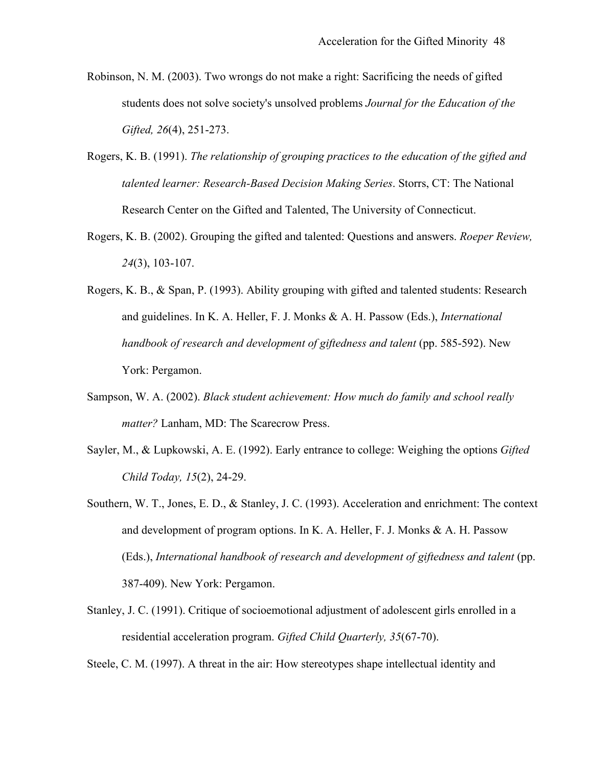- students does not solve society's unsolved problems *Journal for the Education of the Gifted, 26*(4), 251-273. Robinson, N. M. (2003). Two wrongs do not make a right: Sacrificing the needs of gifted
- *talented learner: Research-Based Decision Making Series*. Storrs, CT: The National Research Center on the Gifted and Talented, The University of Connecticut. Rogers, K. B. (1991). *The relationship of grouping practices to the education of the gifted and*
- Rogers, K. B. (2002). Grouping the gifted and talented: Questions and answers. *Roeper Review, 24*(3), 103-107.
- and guidelines. In K. A. Heller, F. J. Monks & A. H. Passow (Eds.), *International* Rogers, K. B., & Span, P. (1993). Ability grouping with gifted and talented students: Research and guidelines. In K. A. Heller, F. J. Monks & A. H. Passow (Eds.), *International*<br>handbook of research and development of giftedness and talent (pp. 585-592). New<br>York: Pergamon.
- Sampson, W. A. (2002). *Black student achievement: How much do family and school really matter?* Lanham, MD: The Scarecrow Press.
- Sayler, M., & Lupkowski, A. E. (1992). Early entrance to college: Weighing the options *Gifted Child Today, 15*(2), 24-29.
- Southern, W. T., Jones, E. D., & Stanley, J. C. (1993). Acceleration and enrichment: The context<br>and development of program options. In K. A. Heller, F. J. Monks & A. H. Passow<br>(Eds.), *International handbook of research a* and development of program options. In K. A. Heller, F. J. Monks & A. H. Passow (Eds.), International handbook of research and development of giftedness and talent (pp. 387-409). New York: Pergamon.
- Stanley, J. C. (1991). Critique of socioemotional adjustment of adolescent girls enrolled in a residential acceleration program. *Gifted Child Quarterly, 35*(67-70).

Steele, C. M. (1997). A threat in the air: How stereotypes shape intellectual identity and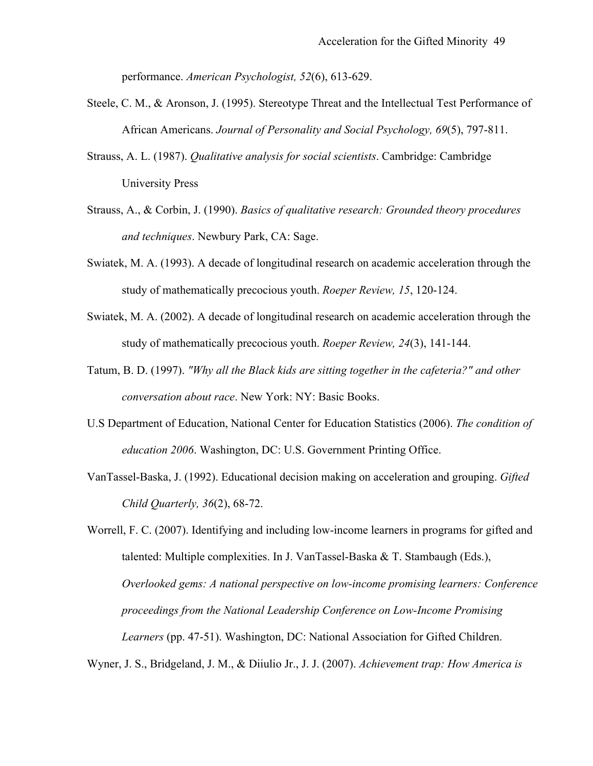performance. *American Psychologist, 52*(6), 613-629.

- Steele, C. M., & Aronson, J. (1995). Stereotype Threat and the Intellectual Test Performance of African Americans. *Journal of Personality and Social Psychology, 69*(5), 797-811.
- Strauss, A. L. (1987). *Qualitative analysis for social scientists*. Cambridge: Cambridge **University Press**
- Strauss, A. L. (1987). *Qualitative analysis for social scientists*. Cambridge: Cambridge<br>University Press<br>Strauss, A., & Corbin, J. (1990). *Basics of qualitative research*: *Grounded theory procedures*<br>and techniques. Ne
- Swiatek, M. A. (1993). A decade of longitudinal research on academic acceleration through the study of mathematically precocious youth. *Roeper Review, 15*, 120-124.
- Swiatek, M. A. (2002). A decade of longitudinal research on academic acceleration through the study of mathematically precocious youth. *Roeper Review, 24*(3), 141-144.
- Tatum, B. D. (1997). *"Why all the Black kids are sitting together in the cafeteria?" and other conversation about race*. New York: NY: Basic Books.
- U.S Department of Education, National Center for Education Statistics (2006). *The condition of education 2006*. Washington, DC: U.S. Government Printing Office.
- VanTassel-Baska, J. (1992). Educational decision making on acceleration and grouping. *Gifted Child Quarterly, 36*(2), 68-72.

Worrell, F. C. (2007). Identifying and including low-income learners in programs for gifted and talented: Multiple complexities. In J. VanTassel-Baska & T. Stambaugh (Eds.), *Overlooked gems: A national perspective on low-income promising learners: Conference proceedings from the National Leadership Conference on Low-Income Promising Learners* (pp. 47-51). Washington, DC: National Association for Gifted Children.

Wyner, J. S., Bridgeland, J. M., & Diiulio Jr., J. J. (2007). Achievement trap: How America is